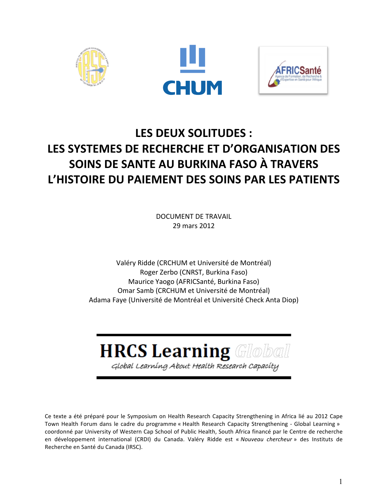





# LES DEUX SOLITUDES : LES SYSTEMES DE RECHERCHE ET D'ORGANISATION DES **SOINS DE SANTE AU BURKINA FASO À TRAVERS** L'HISTOIRE DU PAIEMENT DES SOINS PAR LES PATIENTS

DOCUMENT DE TRAVAIL 29 mars 2012

Valéry Ridde (CRCHUM et Université de Montréal) Roger Zerbo (CNRST, Burkina Faso) Maurice Yaogo (AFRICSanté, Burkina Faso) Omar Samb (CRCHUM et Université de Montréal) Adama Faye (Université de Montréal et Université Check Anta Diop)

# **HRCS Learning Global**

Global Learning About Health Research Capacity

Ce texte a été préparé pour le Symposium on Health Research Capacity Strengthening in Africa lié au 2012 Cape Town Health Forum dans le cadre du programme « Health Research Capacity Strengthening - Global Learning » coordonné par University of Western Cap School of Public Health, South Africa financé par le Centre de recherche en développement international (CRDI) du Canada. Valéry Ridde est « *Nouveau chercheur* » des Instituts de Recherche en Santé du Canada (IRSC).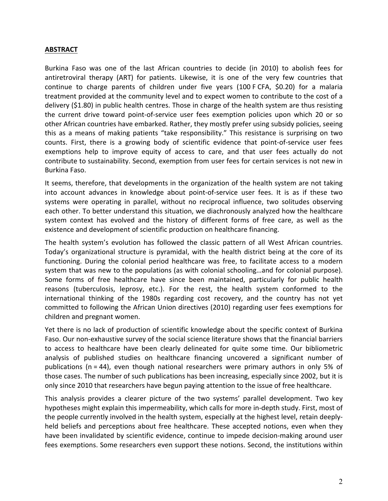#### **ABSTRACT**

Burkina Faso was one of the last African countries to decide (in 2010) to abolish fees for antiretroviral therapy (ART) for patients. Likewise, it is one of the very few countries that continue to charge parents of children under five years (100 F CFA, \$0.20) for a malaria treatment provided at the community level and to expect women to contribute to the cost of a delivery (\$1.80) in public health centres. Those in charge of the health system are thus resisting the current drive toward point-of-service user fees exemption policies upon which 20 or so other African countries have embarked. Rather, they mostly prefer using subsidy policies, seeing this as a means of making patients "take responsibility." This resistance is surprising on two counts. First, there is a growing body of scientific evidence that point-of-service user fees exemptions help to improve equity of access to care, and that user fees actually do not contribute to sustainability. Second, exemption from user fees for certain services is not new in Burkina Faso.

It seems, therefore, that developments in the organization of the health system are not taking into account advances in knowledge about point-of-service user fees. It is as if these two systems were operating in parallel, without no reciprocal influence, two solitudes observing each other. To better understand this situation, we diachronously analyzed how the healthcare system context has evolved and the history of different forms of free care, as well as the existence and development of scientific production on healthcare financing.

The health system's evolution has followed the classic pattern of all West African countries. Today's organizational structure is pyramidal, with the health district being at the core of its functioning. During the colonial period healthcare was free, to facilitate access to a modern system that was new to the populations (as with colonial schooling...and for colonial purpose). Some forms of free healthcare have since been maintained, particularly for public health reasons (tuberculosis, leprosy, etc.). For the rest, the health system conformed to the international thinking of the 1980s regarding cost recovery, and the country has not yet committed to following the African Union directives (2010) regarding user fees exemptions for children and pregnant women.

Yet there is no lack of production of scientific knowledge about the specific context of Burkina Faso. Our non-exhaustive survey of the social science literature shows that the financial barriers to access to healthcare have been clearly delineated for quite some time. Our bibliometric analysis of published studies on healthcare financing uncovered a significant number of publications (n = 44), even though national researchers were primary authors in only 5% of those cases. The number of such publications has been increasing, especially since 2002, but it is only since 2010 that researchers have begun paying attention to the issue of free healthcare.

This analysis provides a clearer picture of the two systems' parallel development. Two key hypotheses might explain this impermeability, which calls for more in-depth study. First, most of the people currently involved in the health system, especially at the highest level, retain deeplyheld beliefs and perceptions about free healthcare. These accepted notions, even when they have been invalidated by scientific evidence, continue to impede decision-making around user fees exemptions. Some researchers even support these notions. Second, the institutions within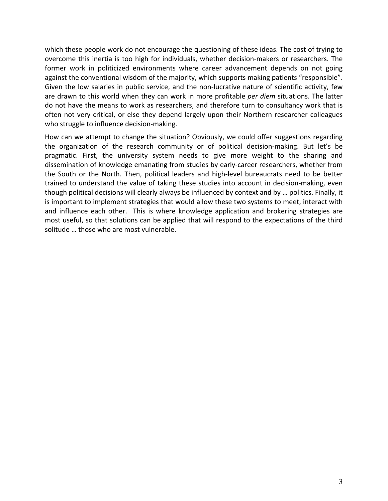which these people work do not encourage the questioning of these ideas. The cost of trying to overcome this inertia is too high for individuals, whether decision-makers or researchers. The former work in politicized environments where career advancement depends on not going against the conventional wisdom of the majority, which supports making patients "responsible". Given the low salaries in public service, and the non-lucrative nature of scientific activity, few are drawn to this world when they can work in more profitable *per diem* situations. The latter do not have the means to work as researchers, and therefore turn to consultancy work that is often not very critical, or else they depend largely upon their Northern researcher colleagues who struggle to influence decision-making.

How can we attempt to change the situation? Obviously, we could offer suggestions regarding the organization of the research community or of political decision-making. But let's be pragmatic. First, the university system needs to give more weight to the sharing and dissemination of knowledge emanating from studies by early-career researchers, whether from the South or the North. Then, political leaders and high-level bureaucrats need to be better trained to understand the value of taking these studies into account in decision-making, even though political decisions will clearly always be influenced by context and by ... politics. Finally, it is important to implement strategies that would allow these two systems to meet, interact with and influence each other. This is where knowledge application and brokering strategies are most useful, so that solutions can be applied that will respond to the expectations of the third solitude ... those who are most vulnerable.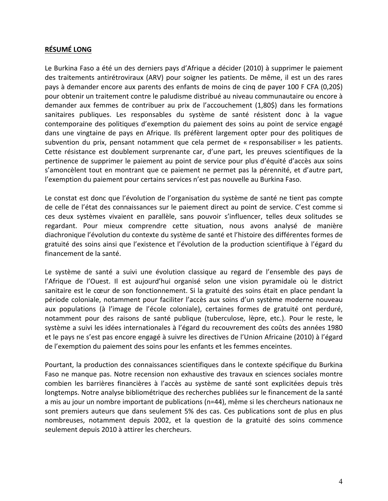#### **RÉSUMÉ LONG**

Le Burkina Faso a été un des derniers pays d'Afrique a décider (2010) à supprimer le paiement des traitements antirétroviraux (ARV) pour soigner les patients. De même, il est un des rares pays à demander encore aux parents des enfants de moins de cinq de payer 100 F CFA (0,20\$) pour obtenir un traitement contre le paludisme distribué au niveau communautaire ou encore à demander aux femmes de contribuer au prix de l'accouchement (1,80\$) dans les formations sanitaires publiques. Les responsables du système de santé résistent donc à la vague contemporaine des politiques d'exemption du paiement des soins au point de service engagé dans une vingtaine de pays en Afrique. Ils préfèrent largement opter pour des politiques de subvention du prix, pensant notamment que cela permet de « responsabiliser » les patients. Cette résistance est doublement surprenante car, d'une part, les preuves scientifiques de la pertinence de supprimer le paiement au point de service pour plus d'équité d'accès aux soins s'amoncèlent tout en montrant que ce paiement ne permet pas la pérennité, et d'autre part, l'exemption du paiement pour certains services n'est pas nouvelle au Burkina Faso.

Le constat est donc que l'évolution de l'organisation du système de santé ne tient pas compte de celle de l'état des connaissances sur le paiement direct au point de service. C'est comme si ces deux systèmes vivaient en parallèle, sans pouvoir s'influencer, telles deux solitudes se regardant. Pour mieux comprendre cette situation, nous avons analysé de manière diachronique l'évolution du contexte du système de santé et l'histoire des différentes formes de gratuité des soins ainsi que l'existence et l'évolution de la production scientifique à l'égard du financement de la santé.

Le système de santé a suivi une évolution classique au regard de l'ensemble des pays de l'Afrique de l'Ouest. Il est aujourd'hui organisé selon une vision pyramidale où le district sanitaire est le cœur de son fonctionnement. Si la gratuité des soins était en place pendant la période coloniale, notamment pour faciliter l'accès aux soins d'un système moderne nouveau aux populations (à l'image de l'école coloniale), certaines formes de gratuité ont perduré, notamment pour des raisons de santé publique (tuberculose, lèpre, etc.). Pour le reste, le système a suivi les idées internationales à l'égard du recouvrement des coûts des années 1980 et le pays ne s'est pas encore engagé à suivre les directives de l'Union Africaine (2010) à l'égard de l'exemption du paiement des soins pour les enfants et les femmes enceintes.

Pourtant, la production des connaissances scientifiques dans le contexte spécifique du Burkina Faso ne manque pas. Notre recension non exhaustive des travaux en sciences sociales montre combien les barrières financières à l'accès au système de santé sont explicitées depuis très longtemps. Notre analyse bibliométrique des recherches publiées sur le financement de la santé a mis au jour un nombre important de publications (n=44), même si les chercheurs nationaux ne sont premiers auteurs que dans seulement 5% des cas. Ces publications sont de plus en plus nombreuses, notamment depuis 2002, et la question de la gratuité des soins commence seulement depuis 2010 à attirer les chercheurs.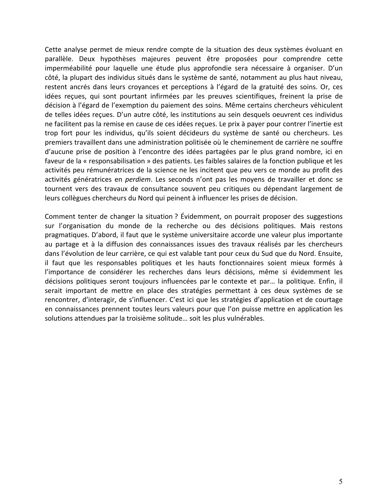Cette analyse permet de mieux rendre compte de la situation des deux systèmes évoluant en parallèle. Deux hypothèses majeures peuvent être proposées pour comprendre cette imperméabilité pour laquelle une étude plus approfondie sera nécessaire à organiser. D'un côté, la plupart des individus situés dans le système de santé, notamment au plus haut niveau, restent ancrés dans leurs croyances et perceptions à l'égard de la gratuité des soins. Or, ces idées reçues, qui sont pourtant infirmées par les preuves scientifiques, freinent la prise de décision à l'égard de l'exemption du paiement des soins. Même certains chercheurs véhiculent de telles idées reçues. D'un autre côté, les institutions au sein desquels oeuvrent ces individus ne facilitent pas la remise en cause de ces idées reçues. Le prix à payer pour contrer l'inertie est trop fort pour les individus, qu'ils soient décideurs du système de santé ou chercheurs. Les premiers travaillent dans une administration politisée où le cheminement de carrière ne souffre d'aucune prise de position à l'encontre des idées partagées par le plus grand nombre, ici en faveur de la « responsabilisation » des patients. Les faibles salaires de la fonction publique et les activités peu rémunératrices de la science ne les incitent que peu vers ce monde au profit des activités génératrices en *perdiem*. Les seconds n'ont pas les moyens de travailler et donc se tournent vers des travaux de consultance souvent peu critiques ou dépendant largement de leurs collègues chercheurs du Nord qui peinent à influencer les prises de décision.

Comment tenter de changer la situation ? Évidemment, on pourrait proposer des suggestions sur l'organisation du monde de la recherche ou des décisions politiques. Mais restons pragmatiques. D'abord, il faut que le système universitaire accorde une valeur plus importante au partage et à la diffusion des connaissances issues des travaux réalisés par les chercheurs dans l'évolution de leur carrière, ce qui est valable tant pour ceux du Sud que du Nord. Ensuite, il faut que les responsables politiques et les hauts fonctionnaires soient mieux formés à l'importance de considérer les recherches dans leurs décisions, même si évidemment les décisions politiques seront toujours influencées par le contexte et par... la politique. Enfin, il serait important de mettre en place des stratégies permettant à ces deux systèmes de se rencontrer, d'interagir, de s'influencer. C'est ici que les stratégies d'application et de courtage en connaissances prennent toutes leurs valeurs pour que l'on puisse mettre en application les solutions attendues par la troisième solitude... soit les plus vulnérables.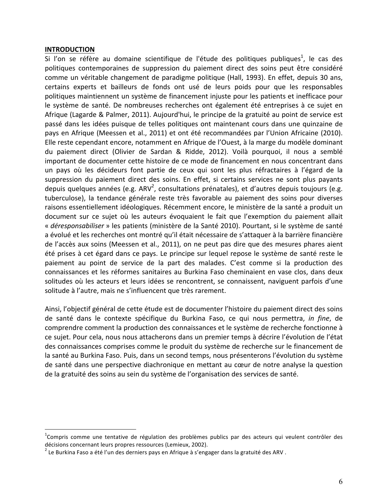#### **INTRODUCTION**

Si l'on se réfère au domaine scientifique de l'étude des politiques publiques<sup>1</sup>, le cas des politiques contemporaines de suppression du paiement direct des soins peut être considéré comme un véritable changement de paradigme politique (Hall, 1993). En effet, depuis 30 ans, certains experts et bailleurs de fonds ont usé de leurs poids pour que les responsables politiques maintiennent un système de financement injuste pour les patients et inefficace pour le système de santé. De nombreuses recherches ont également été entreprises à ce sujet en Afrique (Lagarde & Palmer, 2011). Aujourd'hui, le principe de la gratuité au point de service est passé dans les idées puisque de telles politiques ont maintenant cours dans une quinzaine de pays en Afrique (Meessen et al., 2011) et ont été recommandées par l'Union Africaine (2010). Elle reste cependant encore, notamment en Afrique de l'Ouest, à la marge du modèle dominant du paiement direct (Olivier de Sardan & Ridde, 2012). Voilà pourquoi, il nous a semblé important de documenter cette histoire de ce mode de financement en nous concentrant dans un pays où les décideurs font partie de ceux qui sont les plus réfractaires à l'égard de la suppression du paiement direct des soins. En effet, si certains services ne sont plus payants depuis quelques années (e.g. ARV<sup>2</sup>, consultations prénatales), et d'autres depuis toujours (e.g. tuberculose), la tendance générale reste très favorable au paiement des soins pour diverses raisons essentiellement idéologiques. Récemment encore, le ministère de la santé a produit un document sur ce sujet où les auteurs évoquaient le fait que l'exemption du paiement allait « *déresponsabiliser* » les patients (ministère de la Santé 2010). Pourtant, si le système de santé a évolué et les recherches ont montré qu'il était nécessaire de s'attaquer à la barrière financière de l'accès aux soins (Meessen et al., 2011), on ne peut pas dire que des mesures phares aient été prises à cet égard dans ce pays. Le principe sur lequel repose le système de santé reste le paiement au point de service de la part des malades. C'est comme si la production des connaissances et les réformes sanitaires au Burkina Faso cheminaient en vase clos, dans deux solitudes où les acteurs et leurs idées se rencontrent, se connaissent, naviguent parfois d'une solitude à l'autre, mais ne s'influencent que très rarement.

Ainsi, l'objectif général de cette étude est de documenter l'histoire du paiement direct des soins de santé dans le contexte spécifique du Burkina Faso, ce qui nous permettra, *in fine*, de comprendre comment la production des connaissances et le système de recherche fonctionne à ce sujet. Pour cela, nous nous attacherons dans un premier temps à décrire l'évolution de l'état des connaissances comprises comme le produit du système de recherche sur le financement de la santé au Burkina Faso. Puis, dans un second temps, nous présenterons l'évolution du système de santé dans une perspective diachronique en mettant au cœur de notre analyse la question de la gratuité des soins au sein du système de l'organisation des services de santé.

 $\frac{1}{1}$  $^1$ Compris comme une tentative de régulation des problèmes publics par des acteurs qui veulent contrôler des décisions concernant leurs propres ressources (Lemieux, 2002). 2 Le Burkina Faso a été l'un des ARV.<br><sup>2</sup> Le Burkina Faso a été l'un des derniers pays en Afrique à s'engager dans la gratuité des ARV.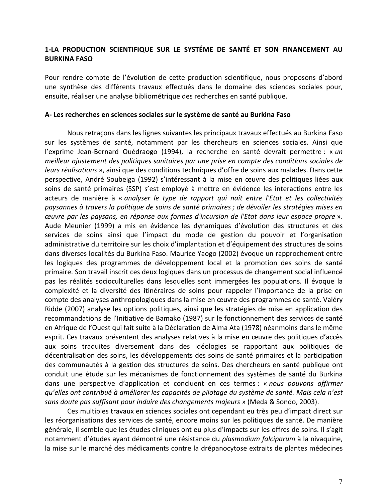#### **1=LA! PRODUCTION! SCIENTIFIQUE! SUR! LE SYSTÉME! DE SANTÉ! ET! SON! FINANCEMENT! AU! BURKINA!FASO**

Pour rendre compte de l'évolution de cette production scientifique, nous proposons d'abord une synthèse des différents travaux effectués dans le domaine des sciences sociales pour, ensuite, réaliser une analyse bibliométrique des recherches en santé publique.

#### **A= Les!recherches en!sciences!sociales sur!le!système de!santé!au!Burkina!Faso!**

Nous retraçons dans les lignes suivantes les principaux travaux effectués au Burkina Faso sur les systèmes de santé, notamment par les chercheurs en sciences sociales. Ainsi que l'exprime Jean-Bernard Ouédraogo (1994), la recherche en santé devrait permettre : « *un meilleur'ajustement'des'politiques'sanitaires'par'une'prise'en'compte'des'conditions'sociales'de' leurs réalisations* », ainsi que des conditions techniques d'offre de soins aux malades. Dans cette perspective, André Soubeiga (1992) s'intéressant à la mise en œuvre des politiques liées aux soins de santé primaires (SSP) s'est employé à mettre en évidence les interactions entre les acteurs! de! manière à « *analyser' le' type' de' rapport' qui' naît' entre l'Etat' et' les' collectivités' paysannes'à'travers'la'politique'de'soins'de'santé'primaires ;'de'dévoiler'les'stratégies'mises'en' œuvre'par'les'paysans,'en' réponse'aux' formes'd'incursion'de'l'Etat'dans'leur'espace'propre* ».! Aude Meunier (1999) a mis en évidence les dynamiques d'évolution des structures et des services de soins ainsi que l'impact du mode de gestion du pouvoir et l'organisation administrative du territoire sur les choix d'implantation et d'équipement des structures de soins dans diverses localités du Burkina Faso. Maurice Yaogo (2002) évoque un rapprochement entre les logiques des programmes de développement local et la promotion des soins de santé primaire. Son travail inscrit ces deux logiques dans un processus de changement social influencé pas les réalités socioculturelles dans lesquelles sont immergées les populations. Il évoque la complexité et la diversité des itinéraires de soins pour rappeler l'importance de la prise en compte des analyses anthropologiques dans la mise en œuvre des programmes de santé. Valéry Ridde (2007) analyse les options politiques, ainsi que les stratégies de mise en application des recommandations de l'Initiative de Bamako (1987) sur le fonctionnement des services de santé en Afrique de l'Ouest qui fait suite à la Déclaration de Alma Ata (1978) néanmoins dans le même esprit. Ces travaux présentent des analyses relatives à la mise en œuvre des politiques d'accès aux soins traduites diversement dans des idéologies se rapportant aux politiques de décentralisation des soins, les développements des soins de santé primaires et la participation des communautés à la gestion des structures de soins. Des chercheurs en santé publique ont conduit une étude sur les mécanismes de fonctionnement des systèmes de santé du Burkina dans une perspective d'application et concluent en ces termes : « *nous pouvons affirmer qu'elles'ont'contribué'à'améliorer'les'capacités'de'pilotage'du'système'de'santé.'Mais'cela'n'est'* sans doute pas suffisant pour induire des changements majeurs » (Meda & Sondo, 2003).

Ces multiples travaux en sciences sociales ont cependant eu très peu d'impact direct sur les réorganisations des services de santé, encore moins sur les politiques de santé. De manière générale, il semble que les études cliniques ont eu plus d'impacts sur les offres de soins. Il s'agit notamment d'études ayant démontré une résistance du *plasmodium falciparum* à la nivaquine, la mise sur le marché des médicaments contre la drépanocytose extraits de plantes médecines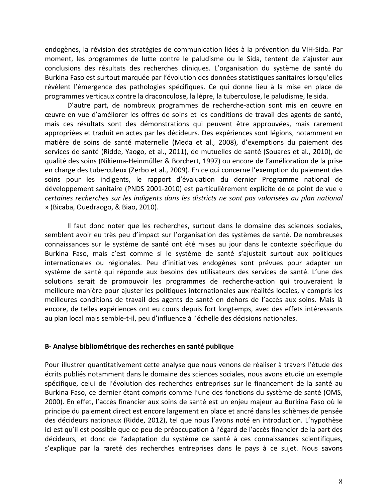endogènes, la révision des stratégies de communication liées à la prévention du VIH-Sida. Par moment, les programmes de lutte contre le paludisme ou le Sida, tentent de s'ajuster aux conclusions des résultats des recherches cliniques. L'organisation du système de santé du Burkina Faso est surtout marquée par l'évolution des données statistiques sanitaires lorsqu'elles révèlent l'émergence des pathologies spécifiques. Ce qui donne lieu à la mise en place de programmes verticaux contre la draconculose, la lèpre, la tuberculose, le paludisme, le sida.

D'autre part, de nombreux programmes de recherche-action sont mis en œuvre en ceuvre en vue d'améliorer les offres de soins et les conditions de travail des agents de santé, mais ces résultats sont des démonstrations qui peuvent être approuvées, mais rarement appropriées et traduit en actes par les décideurs. Des expériences sont légions, notamment en matière de soins de santé maternelle (Meda et al., 2008), d'exemptions du paiement des services de santé (Ridde, Yaogo, et al., 2011), de mutuelles de santé (Souares et al., 2010), de qualité des soins (Nikiema-Heinmüller & Borchert, 1997) ou encore de l'amélioration de la prise en charge des tuberculeux (Zerbo et al., 2009). En ce qui concerne l'exemption du paiement des soins pour les indigents, le rapport d'évaluation du dernier Programme national de développement sanitaire (PNDS 2001-2010) est particulièrement explicite de ce point de vue « certaines recherches sur les indigents dans les districts ne sont pas valorisées au plan national » (Bicaba, Ouedraogo, & Biao, 2010).

Il faut donc noter que les recherches, surtout dans le domaine des sciences sociales, semblent avoir eu très peu d'impact sur l'organisation des systèmes de santé. De nombreuses connaissances sur le système de santé ont été mises au jour dans le contexte spécifique du Burkina Faso, mais c'est comme si le système de santé s'ajustait surtout aux politiques internationales ou régionales. Peu d'initiatives endogènes sont prévues pour adapter un système de santé qui réponde aux besoins des utilisateurs des services de santé. L'une des solutions serait de promouvoir les programmes de recherche-action qui trouveraient la meilleure manière pour ajuster les politiques internationales aux réalités locales, y compris les meilleures conditions de travail des agents de santé en dehors de l'accès aux soins. Mais là encore, de telles expériences ont eu cours depuis fort longtemps, avec des effets intéressants au plan local mais semble-t-il, peu d'influence à l'échelle des décisions nationales.

#### **B-** Analyse bibliométrique des recherches en santé publique

Pour illustrer quantitativement cette analyse que nous venons de réaliser à travers l'étude des écrits publiés notamment dans le domaine des sciences sociales, nous avons étudié un exemple spécifique, celui de l'évolution des recherches entreprises sur le financement de la santé au Burkina Faso, ce dernier étant compris comme l'une des fonctions du système de santé (OMS, 2000). En effet, l'accès financier aux soins de santé est un enjeu majeur au Burkina Faso où le principe du paiement direct est encore largement en place et ancré dans les schèmes de pensée des décideurs nationaux (Ridde, 2012), tel que nous l'avons noté en introduction. L'hypothèse ici est qu'il est possible que ce peu de préoccupation à l'égard de l'accès financier de la part des décideurs, et donc de l'adaptation du système de santé à ces connaissances scientifiques, s'explique par la rareté des recherches entreprises dans le pays à ce sujet. Nous savons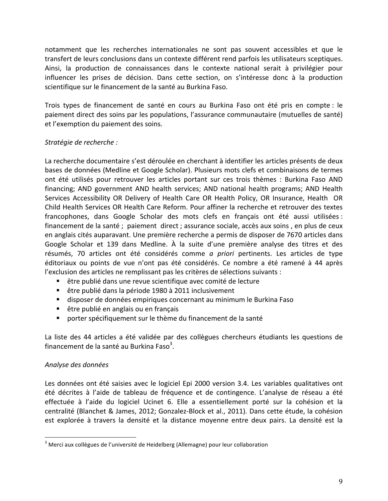notamment que les recherches internationales ne sont pas souvent accessibles et que le transfert de leurs conclusions dans un contexte différent rend parfois les utilisateurs sceptiques. Ainsi, la production de connaissances dans le contexte national serait à privilégier pour influencer les prises de décision. Dans cette section, on s'intéresse donc à la production scientifique sur le financement de la santé au Burkina Faso.

Trois types de financement de santé en cours au Burkina Faso ont été pris en compte : le paiement direct des soins par les populations, l'assurance communautaire (mutuelles de santé) et l'exemption du paiement des soins.

#### *Stratégie'de'recherche :*

La recherche documentaire s'est déroulée en cherchant à identifier les articles présents de deux bases de données (Medline et Google Scholar). Plusieurs mots clefs et combinaisons de termes ont été utilisés pour retrouver les articles portant sur ces trois thèmes : Burkina Faso AND financing; AND government AND health services; AND national health programs; AND Health Services Accessibility OR Delivery of Health Care OR Health Policy, OR Insurance, Health OR Child Health Services OR Health Care Reform. Pour affiner la recherche et retrouver des textes francophones, dans Google Scholar des mots clefs en français ont été aussi utilisées : financement de la santé ; paiement direct ; assurance sociale, accès aux soins, en plus de ceux en anglais cités auparavant. Une première recherche a permis de disposer de 7670 articles dans Google Scholar et 139 dans Medline. À la suite d'une première analyse des titres et des résumés, 70 articles ont été considérés comme *a priori* pertinents. Les articles de type éditoriaux ou points de vue n'ont pas été considérés. Ce nombre a été ramené à 44 après l'exclusion des articles ne remplissant pas les critères de sélections suivants :

- " être publié dans une revue scientifique avec comité de lecture
- **E** être publié dans la période 1980 à 2011 inclusivement
- " disposer de données empiriques concernant au minimum le Burkina Faso
- " être publié en anglais ou en français
- " porter spécifiquement sur le thème du financement de la santé

La liste des 44 articles a été validée par des collègues chercheurs étudiants les questions de financement de la santé au Burkina Faso<sup>3</sup>.

#### *Analyse'des'données'*

Les données ont été saisies avec le logiciel Epi 2000 version 3.4. Les variables qualitatives ont été décrites à l'aide de tableau de fréquence et de contingence. L'analyse de réseau a été effectuée à l'aide du logiciel Ucinet 6. Elle a essentiellement porté sur la cohésion et la centralité (Blanchet & James, 2012; Gonzalez-Block et al., 2011). Dans cette étude, la cohésion est explorée à travers la densité et la distance moyenne entre deux pairs. La densité est la

 $3$  Merci aux collègues de l'université de Heidelberg (Allemagne) pour leur collaboration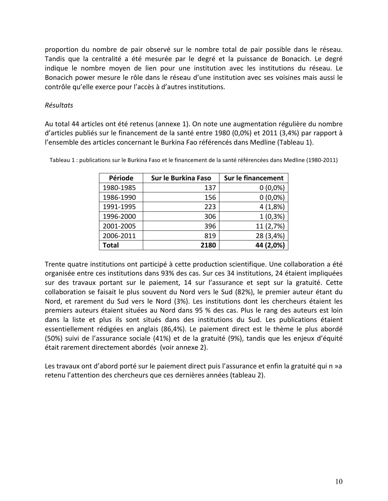proportion du nombre de pair observé sur le nombre total de pair possible dans le réseau. Tandis que la centralité a été mesurée par le degré et la puissance de Bonacich. Le degré indique le nombre moyen de lien pour une institution avec les institutions du réseau. Le Bonacich power mesure le rôle dans le réseau d'une institution avec ses voisines mais aussi le contrôle qu'elle exerce pour l'accès à d'autres institutions.

#### *Résultats'*

Au total 44 articles ont été retenus (annexe 1). On note une augmentation régulière du nombre d'articles publiés sur le financement de la santé entre 1980 (0,0%) et 2011 (3,4%) par rapport à l'ensemble des articles concernant le Burkina Fao référencés dans Medline (Tableau 1).

| Période   | Sur le Burkina Faso | Sur le financement |
|-----------|---------------------|--------------------|
| 1980-1985 | 137                 | $0(0,0\%)$         |
| 1986-1990 | 156                 | $0(0,0\%)$         |
| 1991-1995 | 223                 | 4(1,8%)            |
| 1996-2000 | 306                 | $1(0,3\%)$         |
| 2001-2005 | 396                 | 11 (2,7%)          |
| 2006-2011 | 819                 | 28 (3,4%)          |
| Total     | 2180                | 44 (2,0%)          |

Tableau 1 : publications sur le Burkina Faso et le financement de la santé référencées dans Medline (1980-2011)

Trente quatre institutions ont participé à cette production scientifique. Une collaboration a été organisée entre ces institutions dans 93% des cas. Sur ces 34 institutions, 24 étaient impliquées sur des travaux portant sur le paiement, 14 sur l'assurance et sept sur la gratuité. Cette collaboration se faisait le plus souvent du Nord vers le Sud (82%), le premier auteur étant du Nord, et rarement du Sud vers le Nord (3%). Les institutions dont les chercheurs étaient les premiers auteurs étaient situées au Nord dans 95 % des cas. Plus le rang des auteurs est loin dans la liste et plus ils sont situés dans des institutions du Sud. Les publications étaient essentiellement rédigées en anglais (86,4%). Le paiement direct est le thème le plus abordé (50%) suivi de l'assurance sociale (41%) et de la gratuité (9%), tandis que les enjeux d'équité était rarement directement abordés (voir annexe 2).

Les travaux ont d'abord porté sur le paiement direct puis l'assurance et enfin la gratuité qui n »a retenu l'attention des chercheurs que ces dernières années (tableau 2).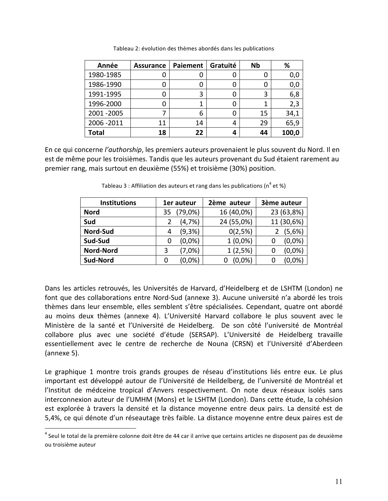| Année        | <b>Assurance</b> | Paiement | Gratuité | <b>Nb</b> | %     |
|--------------|------------------|----------|----------|-----------|-------|
| 1980-1985    |                  | U        |          | O         | 0,0   |
| 1986-1990    |                  | 0        |          | O         | 0,0   |
| 1991-1995    |                  | 3        |          | 3         | 6,8   |
| 1996-2000    |                  |          |          |           | 2,3   |
| 2001-2005    |                  | 6        |          | 15        | 34,1  |
| 2006 - 2011  | 11               | 14       |          | 29        | 65,9  |
| <b>Total</b> | 18               | 22       |          | 44        | 100,0 |

Tableau 2: évolution des thèmes abordés dans les publications

En ce qui concerne *l'authorship*, les premiers auteurs provenaient le plus souvent du Nord. Il en est de même pour les troisièmes. Tandis que les auteurs provenant du Sud étaient rarement au premier rang, mais surtout en deuxième (55%) et troisième (30%) position.

| <b>Institutions</b> | 1er auteur |         | 2ème auteur | 3ème auteur |            |
|---------------------|------------|---------|-------------|-------------|------------|
| <b>Nord</b>         | 35         | (79,0%) | 16 (40,0%)  |             | 23 (63,8%) |
| Sud                 |            | (4,7%)  | 24 (55,0%)  |             | 11 (30,6%) |
| Nord-Sud            | 4          | (9,3%)  | 0(2,5%)     |             | (5,6%)     |
| Sud-Sud             | Ü          | (0.0%   | $1(0,0\%)$  |             | (0,0%      |
| <b>Nord-Nord</b>    | 3          | (7,0%)  | 1(2,5%)     |             | (0,0%)     |
| Sud-Nord            | 0          | (0,0%)  | $(0,0\%)$   |             | $(0.0\%$   |

Tableau 3 : Affiliation des auteurs et rang dans les publications ( $n^4$  et %)

Dans les articles retrouvés, les Universités de Harvard, d'Heidelberg et de LSHTM (London) ne font que des collaborations entre Nord-Sud (annexe 3). Aucune université n'a abordé les trois thèmes dans leur ensemble, elles semblent s'être spécialisées. Cependant, quatre ont abordé au moins deux thèmes (annexe 4). L'Université Harvard collabore le plus souvent avec le Ministère de la santé et l'Université de Heidelberg. De son côté l'université de Montréal collabore plus avec une société d'étude (SERSAP). L'Université de Heidelberg travaille essentiellement avec le centre de recherche de Nouna (CRSN) et l'Université d'Aberdeen  $(annexe<sub>5</sub>)$ .

Le graphique 1 montre trois grands groupes de réseau d'institutions liés entre eux. Le plus important est développé autour de l'Université de Heildelberg, de l'université de Montréal et l'Institut de médceine tropical d'Anvers respectivement. On note deux réseaux isolés sans interconnexion auteur de l'UMHM (Mons) et le LSHTM (London). Dans cette étude, la cohésion est explorée à travers la densité et la distance moyenne entre deux pairs. La densité est de 5,4%, ce qui dénote d'un réseautage très faible. La distance moyenne entre deux paires est de

 $4$  Seul le total de la première colonne doit être de 44 car il arrive que certains articles ne disposent pas de deuxième ou troisième auteur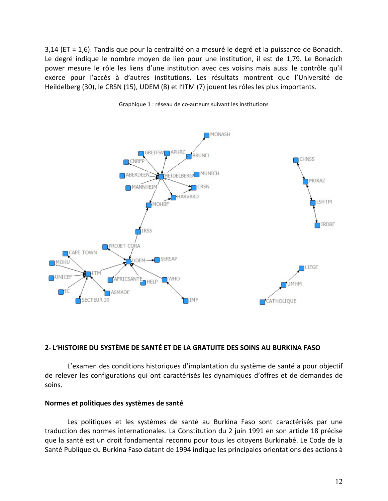$3,14$  (ET = 1,6). Tandis que pour la centralité on a mesuré le degré et la puissance de Bonacich. Le degré indique le nombre moyen de lien pour une institution, il est de 1,79. Le Bonacich power mesure le rôle les liens d'une institution avec ces voisins mais aussi le contrôle qu'il exerce pour l'accès à d'autres institutions. Les résultats montrent que l'Université de Heildelberg (30), le CRSN (15), UDEM (8) et l'ITM (7) jouent les rôles les plus importants.



Graphique 1 : réseau de co-auteurs suivant les institutions

#### **2= L'HISTOIRE!DU!SYSTÈME!DE!SANTÉ!ET!DE!LA!GRATUITE!DES!SOINS!AU!BURKINA!FASO**

L'examen des conditions historiques d'implantation du système de santé a pour objectif de relever les configurations qui ont caractérisés les dynamiques d'offres et de demandes de soins.

#### Normes et politiques des systèmes de santé

Les politiques et les systèmes de santé au Burkina Faso sont caractérisés par une traduction des normes internationales. La Constitution du 2 juin 1991 en son article 18 précise que la santé est un droit fondamental reconnu pour tous les citoyens Burkinabé. Le Code de la Santé Publique du Burkina Faso datant de 1994 indique les principales orientations des actions à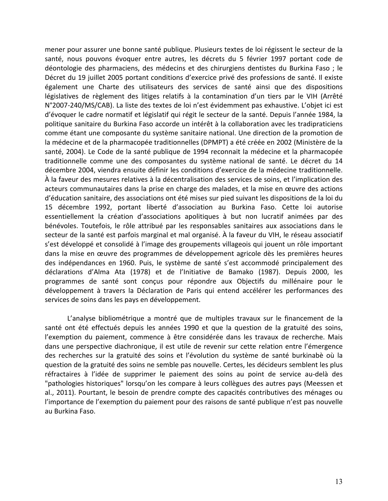mener pour assurer une bonne santé publique. Plusieurs textes de loi régissent le secteur de la santé, nous pouvons évoquer entre autres, les décrets du 5 février 1997 portant code de déontologie des pharmaciens, des médecins et des chirurgiens dentistes du Burkina Faso; le Décret du 19 juillet 2005 portant conditions d'exercice privé des professions de santé. Il existe également une Charte des utilisateurs des services de santé ainsi que des dispositions législatives de règlement des litiges relatifs à la contamination d'un tiers par le VIH (Arrêté N°2007-240/MS/CAB). La liste des textes de loi n'est évidemment pas exhaustive. L'objet ici est d'évoquer le cadre normatif et législatif qui régit le secteur de la santé. Depuis l'année 1984, la politique sanitaire du Burkina Faso accorde un intérêt à la collaboration avec les tradipraticiens comme étant une composante du système sanitaire national. Une direction de la promotion de la médecine et de la pharmacopée traditionnelles (DPMPT) a été créée en 2002 (Ministère de la santé, 2004). Le Code de la santé publique de 1994 reconnait la médecine et la pharmacopée traditionnelle comme une des composantes du système national de santé. Le décret du 14 décembre 2004, viendra ensuite définir les conditions d'exercice de la médecine traditionnelle. À la faveur des mesures relatives à la décentralisation des services de soins, et l'implication des acteurs communautaires dans la prise en charge des malades, et la mise en œuvre des actions d'éducation sanitaire, des associations ont été mises sur pied suivant les dispositions de la loi du 15 décembre 1992, portant liberté d'association au Burkina Faso. Cette loi autorise essentiellement la création d'associations apolitiques à but non lucratif animées par des bénévoles. Toutefois, le rôle attribué par les responsables sanitaires aux associations dans le secteur de la santé est parfois marginal et mal organisé. À la faveur du VIH, le réseau associatif s'est développé et consolidé à l'image des groupements villageois qui jouent un rôle important dans la mise en œuvre des programmes de développement agricole dès les premières heures des indépendances en 1960. Puis, le système de santé s'est accommodé principalement des déclarations d'Alma Ata (1978) et de l'Initiative de Bamako (1987). Depuis 2000, les programmes de santé sont conçus pour répondre aux Objectifs du millénaire pour le développement à travers la Déclaration de Paris qui entend accélérer les performances des services de soins dans les pays en développement.

L'analyse bibliométrique a montré que de multiples travaux sur le financement de la santé ont été effectués depuis les années 1990 et que la question de la gratuité des soins, l'exemption du paiement, commence à être considérée dans les travaux de recherche. Mais dans une perspective diachronique, il est utile de revenir sur cette relation entre l'émergence des recherches sur la gratuité des soins et l'évolution du système de santé burkinabè où la question de la gratuité des soins ne semble pas nouvelle. Certes, les décideurs semblent les plus réfractaires à l'idée de supprimer le paiement des soins au point de service au-delà des "pathologies historiques" lorsqu'on les compare à leurs collègues des autres pays (Meessen et al., 2011). Pourtant, le besoin de prendre compte des capacités contributives des ménages ou l'importance de l'exemption du paiement pour des raisons de santé publique n'est pas nouvelle au Burkina Faso.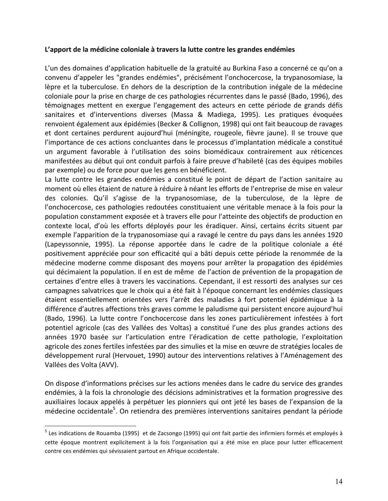#### L'apport de la médicine coloniale à travers la lutte contre les grandes endémies

L'un des domaines d'application habituelle de la gratuité au Burkina Faso a concerné ce qu'on a convenu d'appeler les "grandes endémies", précisément l'onchocercose, la trypanosomiase, la lèpre et la tuberculose. En dehors de la description de la contribution inégale de la médecine coloniale pour la prise en charge de ces pathologies récurrentes dans le passé (Bado, 1996), des témoignages mettent en exergue l'engagement des acteurs en cette période de grands défis sanitaires et d'interventions diverses (Massa & Madiega, 1995). Les pratiques évoquées renvoient également aux épidémies (Becker & Collignon, 1998) qui ont fait beaucoup de ravages et dont certaines perdurent aujourd'hui (méningite, rougeole, fièvre jaune). Il se trouve que l'importance de ces actions concluantes dans le processus d'implantation médicale a constitué un argument favorable à l'utilisation des soins biomédicaux contrairement aux réticences manifestées au début qui ont conduit parfois à faire preuve d'habileté (cas des équipes mobiles par exemple) ou de force pour que les gens en bénéficient.

La lutte contre les grandes endémies a constitué le point de départ de l'action sanitaire au moment où elles étaient de nature à réduire à néant les efforts de l'entreprise de mise en valeur des colonies. Qu'il s'agisse de la trypanosomiase, de la tuberculose, de la lèpre de l'onchocercose, ces pathologies redoutées constituaient une véritable menace à la fois pour la population constamment exposée et à travers elle pour l'atteinte des objectifs de production en contexte local, d'où les efforts déployés pour les éradiquer. Ainsi, certains écrits situent par exemple l'apparition de la trypanosomiase qui a ravagé le centre du pays dans les années 1920 (Lapeyssonnie, 1995). La réponse apportée dans le cadre de la politique coloniale a été positivement appréciée pour son efficacité qui a bâti depuis cette période la renommée de la médecine moderne comme disposant des moyens pour arrêter la propagation des épidémies qui décimaient la population. Il en est de même de l'action de prévention de la propagation de certaines d'entre elles à travers les vaccinations. Cependant, il est ressorti des analyses sur ces campagnes salvatrices que le choix qui a été fait à l'époque concernant les endémies classiques étaient essentiellement orientées vers l'arrêt des maladies à fort potentiel épidémique à la différence d'autres affections très graves comme le paludisme qui persistent encore aujourd'hui (Bado, 1996). La lutte contre l'onchocercose dans les zones particulièrement infestées à fort potentiel agricole (cas des Vallées des Voltas) a constitué l'une des plus grandes actions des années 1970 basée sur l'articulation entre l'éradication de cette pathologie, l'exploitation agricole des zones fertiles infestées par des simulies et la mise en œuvre de stratégies locales de développement rural (Hervouet, 1990) autour des interventions relatives à l'Aménagement des Vallées des Volta (AVV).

On dispose d'informations précises sur les actions menées dans le cadre du service des grandes endémies, à la fois la chronologie des décisions administratives et la formation progressive des auxiliaires locaux appelés à perpétuer les pionniers qui ont jeté les bases de l'expansion de la médecine occidentale<sup>5</sup>. On retiendra des premières interventions sanitaires pendant la période

 $^5$  Les indications de Rouamba (1995) et de Zacsongo (1995) qui ont fait partie des infirmiers formés et employés à cette époque montrent explicitement à la fois l'organisation qui a été mise en place pour lutter efficacement contre ces endémies qui sévissaient partout en Afrique occidentale.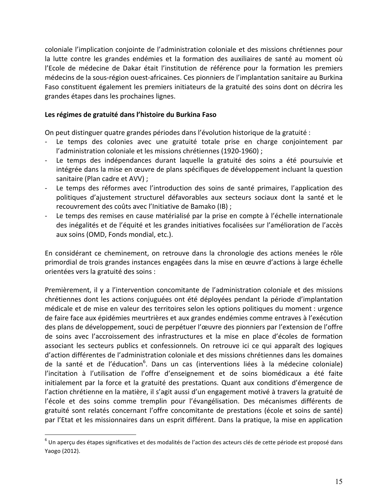coloniale l'implication conjointe de l'administration coloniale et des missions chrétiennes pour la lutte contre les grandes endémies et la formation des auxiliaires de santé au moment où l'Ecole de médecine de Dakar était l'institution de référence pour la formation les premiers médecins de la sous-région ouest-africaines. Ces pionniers de l'implantation sanitaire au Burkina Faso constituent également les premiers initiateurs de la gratuité des soins dont on décrira les grandes étapes dans les prochaines lignes.

#### Les régimes de gratuité dans l'histoire du Burkina Faso

On peut distinguer quatre grandes périodes dans l'évolution historique de la gratuité :

- Le temps des colonies avec une gratuité totale prise en charge conjointement par l'administration coloniale et les missions chrétiennes (1920-1960) ;
- Le temps des indépendances durant laquelle la gratuité des soins a été poursuivie et intégrée dans la mise en œuvre de plans spécifiques de développement incluant la question sanitaire (Plan cadre et AVV) ;
- Le temps des réformes avec l'introduction des soins de santé primaires, l'application des politiques d'ajustement structurel défavorables aux secteurs sociaux dont la santé et le recouvrement des coûts avec l'Initiative de Bamako (IB) ;
- Le temps des remises en cause matérialisé par la prise en compte à l'échelle internationale des inégalités et de l'équité et les grandes initiatives focalisées sur l'amélioration de l'accès aux soins (OMD, Fonds mondial, etc.).

En considérant ce cheminement, on retrouve dans la chronologie des actions menées le rôle primordial de trois grandes instances engagées dans la mise en œuvre d'actions à large échelle orientées vers la gratuité des soins :

Premièrement, il y a l'intervention concomitante de l'administration coloniale et des missions chrétiennes dont les actions conjuguées ont été déployées pendant la période d'implantation médicale et de mise en valeur des territoires selon les options politiques du moment : urgence de faire face aux épidémies meurtrières et aux grandes endémies comme entraves à l'exécution des plans de développement, souci de perpétuer l'œuvre des pionniers par l'extension de l'offre de soins avec l'accroissement des infrastructures et la mise en place d'écoles de formation associant les secteurs publics et confessionnels. On retrouve ici ce qui apparaît des logiques d'action différentes de l'administration coloniale et des missions chrétiennes dans les domaines de la santé et de l'éducation<sup>6</sup>. Dans un cas (interventions liées à la médecine coloniale) l'incitation à l'utilisation de l'offre d'enseignement et de soins biomédicaux a été faite initialement par la force et la gratuité des prestations. Quant aux conditions d'émergence de l'action chrétienne en la matière, il s'agit aussi d'un engagement motivé à travers la gratuité de l'école et des soins comme tremplin pour l'évangélisation. Des mécanismes différents de gratuité sont relatés concernant l'offre concomitante de prestations (école et soins de santé) par l'Etat et les missionnaires dans un esprit différent. Dans la pratique, la mise en application

 $6$  Un aperçu des étapes significatives et des modalités de l'action des acteurs clés de cette période est proposé dans Yaogo (2012).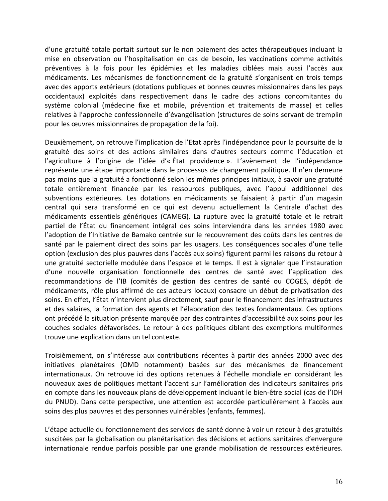d'une gratuité totale portait surtout sur le non paiement des actes thérapeutiques incluant la mise en observation ou l'hospitalisation en cas de besoin, les vaccinations comme activités préventives à la fois pour les épidémies et les maladies ciblées mais aussi l'accès aux médicaments. Les mécanismes de fonctionnement de la gratuité s'organisent en trois temps avec des apports extérieurs (dotations publiques et bonnes œuvres missionnaires dans les pays occidentaux) exploités dans respectivement dans le cadre des actions concomitantes du système colonial (médecine fixe et mobile, prévention et traitements de masse) et celles relatives à l'approche confessionnelle d'évangélisation (structures de soins servant de tremplin pour les œuvres missionnaires de propagation de la foi).

Deuxièmement, on retrouve l'implication de l'Etat après l'indépendance pour la poursuite de la gratuité des soins et des actions similaires dans d'autres secteurs comme l'éducation et l'agriculture à l'origine de l'idée d'« État providence ». L'avènement de l'indépendance représente une étape importante dans le processus de changement politique. Il n'en demeure pas moins que la gratuité a fonctionné selon les mêmes principes initiaux, à savoir une gratuité totale entièrement financée par les ressources publiques, avec l'appui additionnel des subventions extérieures. Les dotations en médicaments se faisaient à partir d'un magasin central qui sera transformé en ce qui est devenu actuellement la Centrale d'achat des médicaments essentiels génériques (CAMEG). La rupture avec la gratuité totale et le retrait partiel de l'État du financement intégral des soins interviendra dans les années 1980 avec l'adoption de l'Initiative de Bamako centrée sur le recouvrement des coûts dans les centres de santé par le paiement direct des soins par les usagers. Les conséquences sociales d'une telle option (exclusion des plus pauvres dans l'accès aux soins) figurent parmi les raisons du retour à une gratuité sectorielle modulée dans l'espace et le temps. Il est à signaler que l'instauration d'une nouvelle organisation fonctionnelle des centres de santé avec l'application des recommandations de l'IB (comités de gestion des centres de santé ou COGES, dépôt de médicaments, rôle plus affirmé de ces acteurs locaux) consacre un début de privatisation des soins. En effet, l'État n'intervient plus directement, sauf pour le financement des infrastructures et des salaires, la formation des agents et l'élaboration des textes fondamentaux. Ces options ont précédé la situation présente marquée par des contraintes d'accessibilité aux soins pour les couches sociales défavorisées. Le retour à des politiques ciblant des exemptions multiformes trouve une explication dans un tel contexte.

Troisièmement, on s'intéresse aux contributions récentes à partir des années 2000 avec des initiatives planétaires (OMD notamment) basées sur des mécanismes de financement internationaux. On retrouve ici des options retenues à l'échelle mondiale en considérant les nouveaux axes de politiques mettant l'accent sur l'amélioration des indicateurs sanitaires pris en compte dans les nouveaux plans de développement incluant le bien-être social (cas de l'IDH du PNUD). Dans cette perspective, une attention est accordée particulièrement à l'accès aux soins des plus pauvres et des personnes vulnérables (enfants, femmes).

L'étape actuelle du fonctionnement des services de santé donne à voir un retour à des gratuités suscitées par la globalisation ou planétarisation des décisions et actions sanitaires d'envergure internationale rendue parfois possible par une grande mobilisation de ressources extérieures.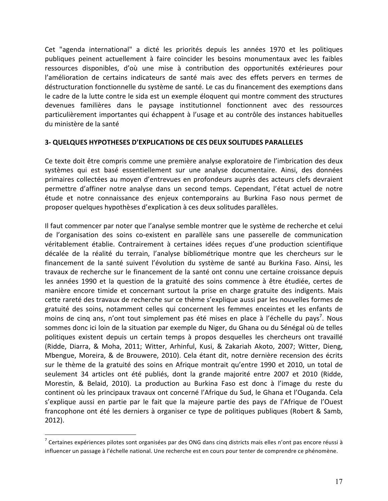Cet "agenda international" a dicté les priorités depuis les années 1970 et les politiques publiques peinent actuellement à faire coïncider les besoins monumentaux avec les faibles ressources disponibles, d'où une mise à contribution des opportunités extérieures pour l'amélioration de certains indicateurs de santé mais avec des effets pervers en termes de déstructuration fonctionnelle du système de santé. Le cas du financement des exemptions dans le cadre de la lutte contre le sida est un exemple éloquent qui montre comment des structures devenues familières dans le paysage institutionnel fonctionnent avec des ressources particulièrement importantes qui échappent à l'usage et au contrôle des instances habituelles du ministère de la santé

#### **3- QUELQUES HYPOTHESES D'EXPLICATIONS DE CES DEUX SOLITUDES PARALLELES**

Ce texte doit être compris comme une première analyse exploratoire de l'imbrication des deux systèmes qui est basé essentiellement sur une analyse documentaire. Ainsi, des données primaires collectées au moyen d'entrevues en profondeurs auprès des acteurs clefs devraient permettre d'affiner notre analyse dans un second temps. Cependant, l'état actuel de notre étude et notre connaissance des enjeux contemporains au Burkina Faso nous permet de proposer quelques hypothèses d'explication à ces deux solitudes parallèles.

Il faut commencer par noter que l'analyse semble montrer que le système de recherche et celui de l'organisation des soins co-existent en parallèle sans une passerelle de communication véritablement établie. Contrairement à certaines idées reçues d'une production scientifique décalée de la réalité du terrain, l'analyse bibliométrique montre que les chercheurs sur le financement de la santé suivent l'évolution du système de santé au Burkina Faso. Ainsi, les travaux de recherche sur le financement de la santé ont connu une certaine croissance depuis les années 1990 et la question de la gratuité des soins commence à être étudiée, certes de manière encore timide et concernant surtout la prise en charge gratuite des indigents. Mais cette rareté des travaux de recherche sur ce thème s'explique aussi par les nouvelles formes de gratuité des soins, notamment celles qui concernent les femmes enceintes et les enfants de moins de cinq ans, n'ont tout simplement pas été mises en place à l'échelle du pays<sup>7</sup>. Nous sommes donc ici loin de la situation par exemple du Niger, du Ghana ou du Sénégal où de telles politiques existent depuis un certain temps à propos desquelles les chercheurs ont travaillé (Ridde, Diarra, & Moha, 2011; Witter, Arhinful, Kusi, & Zakariah Akoto, 2007; Witter, Dieng, Mbengue, Moreira, & de Brouwere, 2010). Cela étant dit, notre dernière recension des écrits sur le thème de la gratuité des soins en Afrique montrait qu'entre 1990 et 2010, un total de seulement 34 articles ont été publiés, dont la grande majorité entre 2007 et 2010 (Ridde, Morestin, & Belaid, 2010). La production au Burkina Faso est donc à l'image du reste du continent où les principaux travaux ont concerné l'Afrique du Sud, le Ghana et l'Ouganda. Cela s'explique aussi en partie par le fait que la majeure partie des pays de l'Afrique de l'Ouest francophone ont été les derniers à organiser ce type de politiques publiques (Robert & Samb, 2012).

 $<sup>7</sup>$  Certaines expériences pilotes sont organisées par des ONG dans cinq districts mais elles n'ont pas encore réussi à</sup> influencer un passage à l'échelle national. Une recherche est en cours pour tenter de comprendre ce phénomène.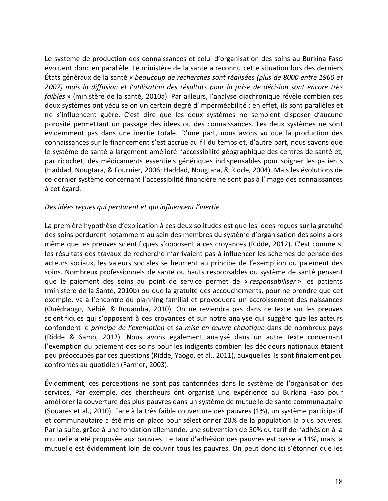Le système de production des connaissances et celui d'organisation des soins au Burkina Faso évoluent donc en parallèle. Le ministère de la santé a reconnu cette situation lors des derniers États!généraux!de!la!santé!« *beaucoup'de'recherches'sont'réalisées'(plus'de'8000'entre'1960'et' 2007)' mais' la' diffusion' et' l'utilisation' des' résultats' pour' la' prise' de' décision' sont' encore' très' faibles* » (ministère de la santé, 2010a). Par ailleurs, l'analyse diachronique révèle combien ces deux systèmes ont vécu selon un certain degré d'imperméabilité ; en effet, ils sont parallèles et ne s'influencent guère. C'est dire que les deux systèmes ne semblent disposer d'aucune porosité permettant un passage des idées ou des connaissances. Les deux systèmes ne sont évidemment pas dans une inertie totale. D'une part, nous avons vu que la production des connaissances sur le financement s'est accrue au fil du temps et, d'autre part, nous savons que le système de santé a largement amélioré l'accessibilité géographique des centres de santé et, par ricochet, des médicaments essentiels génériques indispensables pour soigner les patients (Haddad, Nougtara, & Fournier, 2006; Haddad, Nougtara, & Ridde, 2004). Mais les évolutions de ce dernier système concernant l'accessibilité financière ne sont pas à l'image des connaissances à cet égard.

#### *Des'idées'reçues'qui'perdurent et'qui'influencent'l'inertie*

La première hypothèse d'explication à ces deux solitudes est que les idées reçues sur la gratuité des soins perdurent notamment au sein des membres du système d'organisation des soins alors même que les preuves scientifiques s'opposent à ces croyances (Ridde, 2012). C'est comme si les résultats des travaux de recherche n'arrivaient pas à influencer les schèmes de pensée des acteurs sociaux, les valeurs sociales se heurtent au principe de l'exemption du paiement des soins. Nombreux professionnels de santé ou hauts responsables du système de santé pensent que le paiement des soins au point de service permet de « *responsabiliser* » les patients (ministère de la Santé, 2010b) ou que la gratuité des accouchements, pour ne prendre que cet exemple, va à l'encontre du planning familial et provoquera un accroissement des naissances (Ouédraogo, Nébié, & Rouamba, 2010). On ne reviendra pas dans ce texte sur les preuves scientifiques qui s'opposent à ces croyances et sur notre analyse qui suggère que les acteurs confondent le *principe de l'exemption* et sa *mise en œuvre chaotique* dans de nombreux pays (Ridde & Samb, 2012). Nous avons également analysé dans un autre texte concernant l'exemption du paiement des soins pour les indigents combien les décideurs nationaux étaient peu préoccupés par ces questions (Ridde, Yaogo, et al., 2011), auxquelles ils sont finalement peu confrontés au quotidien (Farmer, 2003).

Évidemment, ces perceptions ne sont pas cantonnées dans le système de l'organisation des services. Par exemple, des chercheurs ont organisé une expérience au Burkina Faso pour améliorer la couverture des plus pauvres dans un système de mutuelle de santé communautaire (Souares et al., 2010). Face à la très faible couverture des pauvres (1%), un système participatif et communautaire a été mis en place pour sélectionner 20% de la population la plus pauvres. Par la suite, grâce à une fondation allemande, une subvention de 50% du tarif de l'adhésion à la mutuelle a été proposée aux pauvres. Le taux d'adhésion des pauvres est passé à 11%, mais la mutuelle est évidemment loin de couvrir tous les pauvres. On peut donc ici s'étonner que les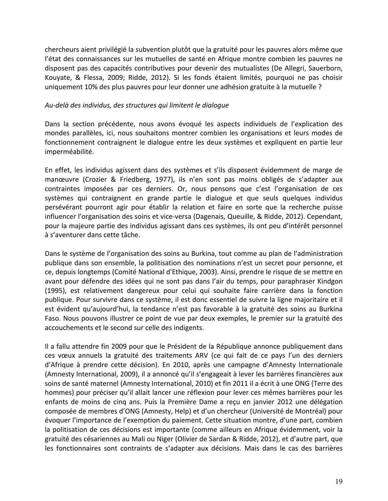chercheurs aient privilégié la subvention plutôt que la gratuité pour les pauvres alors même que l'état des connaissances sur les mutuelles de santé en Afrique montre combien les pauvres ne disposent pas des capacités contributives pour devenir des mutualistes (De Allegri, Sauerborn, Kouyate, & Flessa, 2009; Ridde, 2012). Si les fonds étaient limités, pourquoi ne pas choisir uniquement 10% des plus pauvres pour leur donner une adhésion gratuite à la mutuelle ?

#### Au-delà des individus, des structures qui limitent le dialogue

Dans la section précédente, nous avons évoqué les aspects individuels de l'explication des mondes parallèles, ici, nous souhaitons montrer combien les organisations et leurs modes de fonctionnement contraignent le dialogue entre les deux systèmes et expliquent en partie leur imperméabilité.

En effet, les individus agissent dans des systèmes et s'ils disposent évidemment de marge de manœuvre (Crozier & Friedberg, 1977), ils n'en sont pas moins obligés de s'adapter aux contraintes imposées par ces derniers. Or, nous pensons que c'est l'organisation de ces systèmes qui contraignent en grande partie le dialogue et que seuls quelques individus persévérant pourront agir pour établir la relation et faire en sorte que la recherche puisse influencer l'organisation des soins et vice-versa (Dagenais, Queuille, & Ridde, 2012). Cependant, pour la majeure partie des individus agissant dans ces systèmes, ils ont peu d'intérêt personnel à s'aventurer dans cette tâche.

Dans le système de l'organisation des soins au Burkina, tout comme au plan de l'administration publique dans son ensemble, la politisation des nominations n'est un secret pour personne, et ce, depuis longtemps (Comité National d'Ethique, 2003). Ainsi, prendre le risque de se mettre en avant pour défendre des idées qui ne sont pas dans l'air du temps, pour paraphraser Kindgon (1995), est relativement dangereux pour celui qui souhaite faire carrière dans la fonction publique. Pour survivre dans ce système, il est donc essentiel de suivre la ligne majoritaire et il est évident qu'aujourd'hui, la tendance n'est pas favorable à la gratuité des soins au Burkina Faso. Nous pouvons illustrer ce point de vue par deux exemples, le premier sur la gratuité des accouchements et le second sur celle des indigents.

Il a fallu attendre fin 2009 pour que le Président de la République annonce publiquement dans ces vœux annuels la gratuité des traitements ARV (ce qui fait de ce pays l'un des derniers d'Afrique à prendre cette décision). En 2010, après une campagne d'Amnesty Internationale (Amnesty International, 2009), il a annoncé qu'il s'engageait à lever les barrières financières aux soins de santé maternel (Amnesty International, 2010) et fin 2011 il a écrit à une ONG (Terre des hommes) pour préciser qu'il allait lancer une réflexion pour lever ces mêmes barrières pour les enfants de moins de cinq ans. Puis la Première Dame a reçu en janvier 2012 une délégation composée de membres d'ONG (Amnesty, Help) et d'un chercheur (Université de Montréal) pour évoquer l'importance de l'exemption du paiement. Cette situation montre, d'une part, combien la politisation de ces décisions est importante (comme ailleurs en Afrique évidemment, voir la gratuité des césariennes au Mali ou Niger (Olivier de Sardan & Ridde, 2012), et d'autre part, que les fonctionnaires sont contraints de s'adapter aux décisions. Mais dans le cas des barrières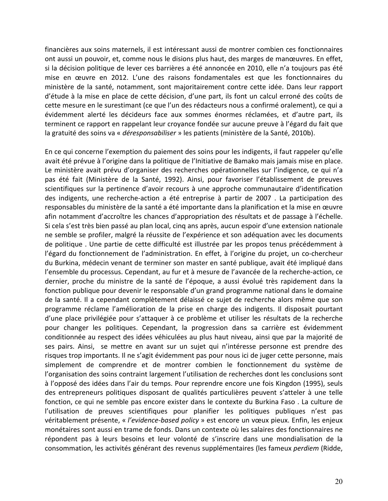financières aux soins maternels, il est intéressant aussi de montrer combien ces fonctionnaires ont aussi un pouvoir, et, comme nous le disions plus haut, des marges de manœuvres. En effet, si la décision politique de lever ces barrières a été annoncée en 2010, elle n'a toujours pas été mise en œuvre en 2012. L'une des raisons fondamentales est que les fonctionnaires du ministère de la santé, notamment, sont majoritairement contre cette idée. Dans leur rapport d'étude à la mise en place de cette décision, d'une part, ils font un calcul erroné des coûts de cette mesure en le surestimant (ce que l'un des rédacteurs nous a confirmé oralement), ce qui a évidemment alerté les décideurs face aux sommes énormes réclamées, et d'autre part, ils terminent ce rapport en rappelant leur croyance fondée sur aucune preuve à l'égard du fait que la gratuité des soins va « *déresponsabiliser* » les patients (ministère de la Santé, 2010b).

En ce qui concerne l'exemption du paiement des soins pour les indigents, il faut rappeler qu'elle avait été prévue à l'origine dans la politique de l'Initiative de Bamako mais jamais mise en place. Le ministère avait prévu d'organiser des recherches opérationnelles sur l'indigence, ce qui n'a pas été fait (Ministère de la Santé, 1992). Ainsi, pour favoriser l'établissement de preuves scientifiques sur la pertinence d'avoir recours à une approche communautaire d'identification des indigents, une recherche-action a été entreprise à partir de 2007 . La participation des responsables du ministère de la santé a été importante dans la planification et la mise en œuvre afin notamment d'accroître les chances d'appropriation des résultats et de passage à l'échelle. Si cela s'est très bien passé au plan local, cinq ans après, aucun espoir d'une extension nationale ne semble se profiler, malgré la réussite de l'expérience et son adéquation avec les documents de politique . Une partie de cette difficulté est illustrée par les propos tenus précédemment à l'égard du fonctionnement de l'administration. En effet, à l'origine du projet, un co-chercheur du Burkina, médecin venant de terminer son master en santé publique, avait été impliqué dans l'ensemble du processus. Cependant, au fur et à mesure de l'avancée de la recherche-action, ce dernier, proche du ministre de la santé de l'époque, a aussi évolué très rapidement dans la fonction publique pour devenir le responsable d'un grand programme national dans le domaine de la santé. Il a cependant complètement délaissé ce sujet de recherche alors même que son programme réclame l'amélioration de la prise en charge des indigents. Il disposait pourtant d'une place privilégiée pour s'attaquer à ce problème et utiliser les résultats de la recherche pour changer les politiques. Cependant, la progression dans sa carrière est évidemment conditionnée au respect des idées véhiculées au plus haut niveau, ainsi que par la majorité de ses pairs. Ainsi, se mettre en avant sur un sujet qui n'intéresse personne est prendre des risques trop importants. Il ne s'agit évidemment pas pour nous ici de juger cette personne, mais simplement de comprendre et de montrer combien le fonctionnement du système de l'organisation des soins contraint largement l'utilisation de recherches dont les conclusions sont à l'opposé des idées dans l'air du temps. Pour reprendre encore une fois Kingdon (1995), seuls des entrepreneurs politiques disposant de qualités particulières peuvent s'atteler à une telle fonction, ce qui ne semble pas encore exister dans le contexte du Burkina Faso. La culture de l'utilisation de preuves scientifiques pour planifier les politiques publiques n'est pas véritablement présente, « *l'evidence-based policy* » est encore un vœux pieux. Enfin, les enjeux monétaires sont aussi en trame de fonds. Dans un contexte où les salaires des fonctionnaires ne répondent pas à leurs besoins et leur volonté de s'inscrire dans une mondialisation de la consommation, les activités générant des revenus supplémentaires (les fameux *perdiem* (Ridde,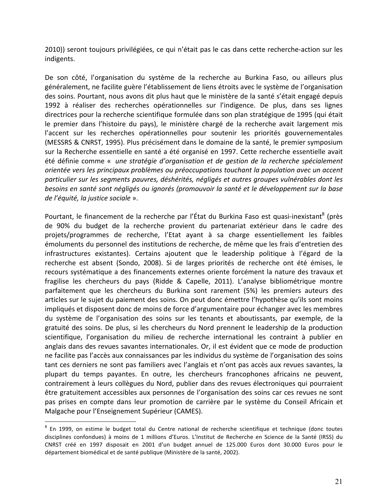2010)) seront toujours privilégiées, ce qui n'était pas le cas dans cette recherche-action sur les indigents.

De son côté, l'organisation du système de la recherche au Burkina Faso, ou ailleurs plus généralement, ne facilite guère l'établissement de liens étroits avec le système de l'organisation des soins. Pourtant, nous avons dit plus haut que le ministère de la santé s'était engagé depuis 1992 à réaliser des recherches opérationnelles sur l'indigence. De plus, dans ses lignes directrices pour la recherche scientifique formulée dans son plan stratégique de 1995 (qui était le premier dans l'histoire du pays), le ministère chargé de la recherche avait largement mis l'accent sur les recherches opérationnelles pour soutenir les priorités gouvernementales (MESSRS & CNRST, 1995). Plus précisément dans le domaine de la santé, le premier symposium sur la Recherche essentielle en santé a été organisé en 1997. Cette recherche essentielle avait été définie comme « *une stratégie d'organisation et de gestion de la recherche spécialement* orientée vers les principaux problèmes ou préoccupations touchant la population avec un accent particulier sur les segments pauvres, déshérités, négligés et autres groupes vulnérables dont les *besoins'en'santé'sont'négligés'ou'ignorés'(promouvoir'la'santé'et'le développement'sur'la'base' de l'équité, la justice sociale* ».

Pourtant, le financement de la recherche par l'État du Burkina Faso est quasi-inexistant<sup>8</sup> (près de 90% du budget de la recherche provient du partenariat extérieur dans le cadre des projets/programmes de recherche, l'Etat ayant à sa charge essentiellement les faibles émoluments du personnel des institutions de recherche, de même que les frais d'entretien des infrastructures existantes). Certains ajoutent que le leadership politique à l'égard de la recherche est absent (Sondo, 2008). Si de larges priorités de recherche ont été émises, le recours systématique a des financements externes oriente forcément la nature des travaux et fragilise les chercheurs du pays (Ridde & Capelle, 2011). L'analyse bibliométrique montre parfaitement que les chercheurs du Burkina sont rarement (5%) les premiers auteurs des articles sur le sujet du paiement des soins. On peut donc émettre l'hypothèse qu'ils sont moins impliqués et disposent donc de moins de force d'argumentaire pour échanger avec les membres du système de l'organisation des soins sur les tenants et aboutissants, par exemple, de la gratuité des soins. De plus, si les chercheurs du Nord prennent le leadership de la production scientifique, l'organisation du milieu de recherche international les contraint à publier en anglais dans des revues savantes internationales. Or, il est évident que ce mode de production ne facilite pas l'accès aux connaissances par les individus du système de l'organisation des soins tant ces derniers ne sont pas familiers avec l'anglais et n'ont pas accès aux revues savantes, la plupart du temps payantes. En outre, les chercheurs francophones africains ne peuvent, contrairement à leurs collègues du Nord, publier dans des revues électroniques qui pourraient être gratuitement accessibles aux personnes de l'organisation des soins car ces revues ne sont pas prises en compte dans leur promotion de carrière par le système du Conseil Africain et Malgache pour l'Enseignement Supérieur (CAMES).

<sup>&</sup>lt;sup>8</sup> En 1999, on estime le budget total du Centre national de recherche scientifique et technique (donc toutes disciplines confondues) à moins de 1 millions d'Euros. L'Institut de Recherche en Science de la Santé (IRSS) du CNRST créé en 1997 disposait en 2001 d'un budget annuel de 125.000 Euros dont 30.000 Euros pour le département biomédical et de santé publique (Ministère de la santé, 2002).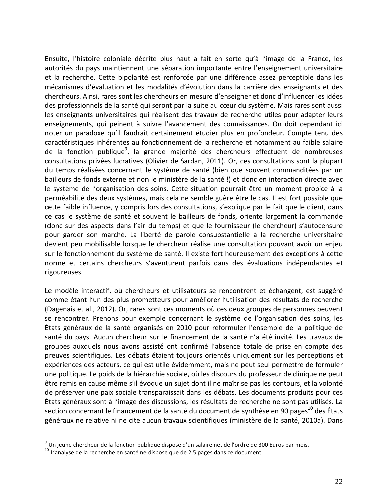Ensuite, l'histoire coloniale décrite plus haut a fait en sorte qu'à l'image de la France, les autorités du pays maintiennent une séparation importante entre l'enseignement universitaire et la recherche. Cette bipolarité est renforcée par une différence assez perceptible dans les mécanismes d'évaluation et les modalités d'évolution dans la carrière des enseignants et des chercheurs. Ainsi, rares sont les chercheurs en mesure d'enseigner et donc d'influencer les idées des professionnels de la santé qui seront par la suite au cœur du système. Mais rares sont aussi les enseignants universitaires qui réalisent des travaux de recherche utiles pour adapter leurs enseignements, qui peinent à suivre l'avancement des connaissances. On doit cependant ici noter un paradoxe qu'il faudrait certainement étudier plus en profondeur. Compte tenu des caractéristiques inhérentes au fonctionnement de la recherche et notamment au faible salaire de la fonction publique<sup>9</sup>, la grande majorité des chercheurs effectuent de nombreuses consultations privées lucratives (Olivier de Sardan, 2011). Or, ces consultations sont la plupart du temps réalisées concernant le système de santé (bien que souvent commanditées par un bailleurs de fonds externe et non le ministère de la santé !) et donc en interaction directe avec le système de l'organisation des soins. Cette situation pourrait être un moment propice à la perméabilité des deux systèmes, mais cela ne semble guère être le cas. Il est fort possible que cette faible influence, y compris lors des consultations, s'explique par le fait que le client, dans ce cas le système de santé et souvent le bailleurs de fonds, oriente largement la commande (donc sur des aspects dans l'air du temps) et que le fournisseur (le chercheur) s'autocensure pour garder son marché. La liberté de parole consubstantielle à la recherche universitaire devient peu mobilisable lorsque le chercheur réalise une consultation pouvant avoir un enjeu sur le fonctionnement du système de santé. Il existe fort heureusement des exceptions à cette norme et certains chercheurs s'aventurent parfois dans des évaluations indépendantes et rigoureuses.

Le modèle interactif, où chercheurs et utilisateurs se rencontrent et échangent, est suggéré comme étant l'un des plus prometteurs pour améliorer l'utilisation des résultats de recherche (Dagenais et al., 2012). Or, rares sont ces moments où ces deux groupes de personnes peuvent se rencontrer. Prenons pour exemple concernant le système de l'organisation des soins, les États généraux de la santé organisés en 2010 pour reformuler l'ensemble de la politique de santé du pays. Aucun chercheur sur le financement de la santé n'a été invité. Les travaux de groupes auxquels nous avons assisté ont confirmé l'absence totale de prise en compte des preuves scientifiques. Les débats étaient toujours orientés uniquement sur les perceptions et expériences des acteurs, ce qui est utile évidemment, mais ne peut seul permettre de formuler une politique. Le poids de la hiérarchie sociale, où les discours du professeur de clinique ne peut être remis en cause même s'il évoque un sujet dont il ne maîtrise pas les contours, et la volonté de préserver une paix sociale transparaissait dans les débats. Les documents produits pour ces États généraux sont à l'image des discussions, les résultats de recherche ne sont pas utilisés. La section concernant le financement de la santé du document de synthèse en 90 pages<sup>10</sup> des États généraux ne relative ni ne cite aucun travaux scientifiques (ministère de la santé, 2010a). Dans

 $9$  Un jeune chercheur de la fonction publique dispose d'un salaire net de l'ordre de 300 Euros par mois.

 $10$  L'analyse de la recherche en santé ne dispose que de 2,5 pages dans ce document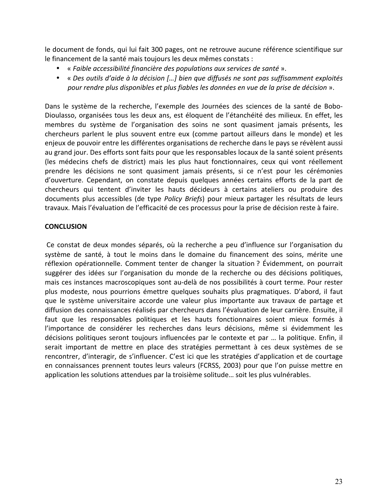le document de fonds, qui lui fait 300 pages, ont ne retrouve aucune référence scientifique sur le financement de la santé mais toujours les deux mêmes constats :

- « Faible accessibilité financière des populations aux services de santé ».
- « Des outils d'aide à la décision […] bien que diffusés ne sont pas suffisamment exploités *pour'rendre'plus'disponibles'et'plus'fiables'les'données'en'vue'de'la'prise'de'décision* ».

Dans le système de la recherche, l'exemple des Journées des sciences de la santé de Bobo-Dioulasso, organisées tous les deux ans, est éloquent de l'étanchéité des milieux. En effet, les membres du système de l'organisation des soins ne sont quasiment jamais présents, les chercheurs parlent le plus souvent entre eux (comme partout ailleurs dans le monde) et les enjeux de pouvoir entre les différentes organisations de recherche dans le pays se révèlent aussi au grand jour. Des efforts sont faits pour que les responsables locaux de la santé soient présents (les médecins chefs de district) mais les plus haut fonctionnaires, ceux qui vont réellement prendre les décisions ne sont quasiment jamais présents, si ce n'est pour les cérémonies d'ouverture. Cependant, on constate depuis quelques années certains efforts de la part de chercheurs qui tentent d'inviter les hauts décideurs à certains ateliers ou produire des documents plus accessibles (de type *Policy Briefs*) pour mieux partager les résultats de leurs travaux. Mais l'évaluation de l'efficacité de ces processus pour la prise de décision reste à faire.

#### **CONCLUSION**

Ce constat de deux mondes séparés, où la recherche a peu d'influence sur l'organisation du système de santé, à tout le moins dans le domaine du financement des soins, mérite une réflexion opérationnelle. Comment tenter de changer la situation ? Évidemment, on pourrait suggérer des idées sur l'organisation du monde de la recherche ou des décisions politiques, mais ces instances macroscopiques sont au-delà de nos possibilités à court terme. Pour rester plus modeste, nous pourrions émettre quelques souhaits plus pragmatiques. D'abord, il faut que le système universitaire accorde une valeur plus importante aux travaux de partage et diffusion des connaissances réalisés par chercheurs dans l'évaluation de leur carrière. Ensuite, il faut que les responsables politiques et les hauts fonctionnaires soient mieux formés à l'importance de considérer les recherches dans leurs décisions, même si évidemment les décisions politiques seront toujours influencées par le contexte et par ... la politique. Enfin, il serait important de mettre en place des stratégies permettant à ces deux systèmes de se rencontrer, d'interagir, de s'influencer. C'est ici que les stratégies d'application et de courtage en connaissances prennent toutes leurs valeurs (FCRSS, 2003) pour que l'on puisse mettre en application les solutions attendues par la troisième solitude… soit les plus vulnérables.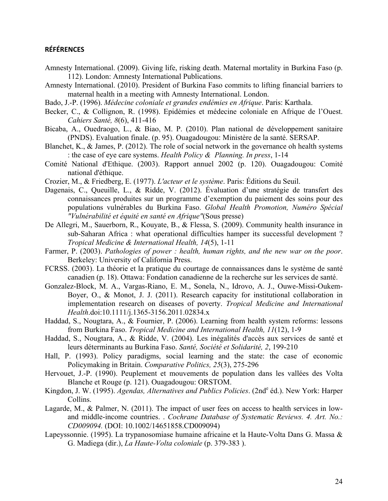#### **RÉFÉRENCES**

- Amnesty International. (2009). Giving life, risking death. Maternal mortality in Burkina Faso (p. 112). London: Amnesty International Publications.
- Amnesty International. (2010). President of Burkina Faso commits to lifting financial barriers to maternal health in a meeting with Amnesty International. London.
- Bado, J.-P. (1996). *Médecine coloniale et grandes endémies en Afrique*. Paris: Karthala.
- Becker, C., & Collignon, R. (1998). Epidémies et médecine coloniale en Afrique de l'Ouest. *Cahiers Santé, 8*(6), 411-416
- Bicaba, A., Ouedraogo, L., & Biao, M. P. (2010). Plan national de développement sanitaire (PNDS). Evaluation finale. (p. 95). Ouagadougou: Ministère de la santé. SERSAP.
- Blanchet, K., & James, P. (2012). The role of social network in the governance oh health systems : the case of eye care systems. *Health Policy & Planning. In press*, 1-14
- Comité National d'Ethique. (2003). Rapport annuel 2002 (p. 120). Ouagadougou: Comité national d'éthique.
- Crozier, M., & Friedberg, E. (1977). *L'acteur et le système*. Paris: Éditions du Seuil.
- Dagenais, C., Queuille, L., & Ridde, V. (2012). Évaluation d'une stratégie de transfert des connaissances produites sur un programme d'exemption du paiement des soins pour des populations vulnérables du Burkina Faso. *Global Health Promotion, Numéro Spécial "Vulnérabilité et équité en santé en Afrique"*(Sous presse)
- De Allegri, M., Sauerborn, R., Kouyate, B., & Flessa, S. (2009). Community health insurance in sub-Saharan Africa : what operational difficulties hamper its successful development ? *Tropical Medicine & International Health, 14*(5), 1-11
- Farmer, P. (2003). *Pathologies of power : health, human rights, and the new war on the poor*. Berkeley: University of California Press.
- FCRSS. (2003). La théorie et la pratique du courtage de connaissances dans le système de santé canadien (p. 18). Ottawa: Fondation canadienne de la recherche sur les services de santé.
- Gonzalez-Block, M. A., Vargas-Riano, E. M., Sonela, N., Idrovo, A. J., Ouwe-Missi-Oukem-Boyer, O., & Monot, J. J. (2011). Research capacity for institutional collaboration in implementation research on diseases of poverty. *Tropical Medicine and International Health*.doi:10.1111/j.1365-3156.2011.02834.x
- Haddad, S., Nougtara, A., & Fournier, P. (2006). Learning from health system reforms: lessons from Burkina Faso. *Tropical Medicine and International Health, 11*(12), 1-9
- Haddad, S., Nougtara, A., & Ridde, V. (2004). Les inégalités d'accès aux services de santé et leurs déterminants au Burkina Faso. *Santé, Société et Solidarité, 2*, 199-210
- Hall, P. (1993). Policy paradigms, social learning and the state: the case of economic Policymaking in Britain. *Comparative Politics, 25*(3), 275-296
- Hervouet, J.-P. (1990). Peuplement et mouvements de population dans les vallées des Volta Blanche et Rouge (p. 121). Ouagadougou: ORSTOM.
- Kingdon, J. W. (1995). *Agendas, Alternatives and Publics Policies*. (2nd<sup>e</sup> éd.). New York: Harper Collins.
- Lagarde, M., & Palmer, N. (2011). The impact of user fees on access to health services in lowand middle-income countries. . *Cochrane Database of Systematic Reviews. 4. Art. No.: CD009094.* (DOI: 10.1002/14651858.CD009094)
- Lapeyssonnie. (1995). La trypanosomiase humaine africaine et la Haute-Volta Dans G. Massa & G. Madiega (dir.), *La Haute-Volta coloniale* (p. 379-383 ).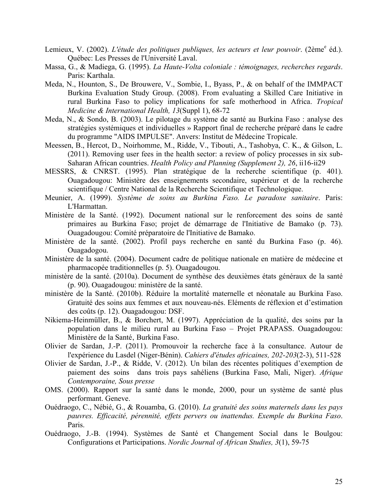- Lemieux, V. (2002). *L'étude des politiques publiques, les acteurs et leur pouvoir*. (2ème<sup>e</sup> éd.). Québec: Les Presses de l'Université Laval.
- Massa, G., & Madiega, G. (1995). *La Haute-Volta coloniale : témoignages, recherches regards*. Paris: Karthala.
- Meda, N., Hounton, S., De Brouwere, V., Sombie, I., Byass, P., & on behalf of the IMMPACT Burkina Evaluation Study Group. (2008). From evaluating a Skilled Care Initiative in rural Burkina Faso to policy implications for safe motherhood in Africa. *Tropical Medicine & International Health, 13*(Suppl 1), 68-72
- Meda, N., & Sondo, B. (2003). Le pilotage du système de santé au Burkina Faso : analyse des stratégies systémiques et individuelles » Rapport final de recherche préparé dans le cadre du programme "AIDS IMPULSE". Anvers: Institut de Médecine Tropicale.
- Meessen, B., Hercot, D., Noirhomme, M., Ridde, V., Tibouti, A., Tashobya, C. K., & Gilson, L. (2011). Removing user fees in the health sector: a review of policy processes in six sub-Saharan African countries. *Health Policy and Planning (Supplement 2), 26*, ii16-ii29
- MESSRS, & CNRST. (1995). Plan stratégique de la recherche scientifique (p. 401). Ouagadougou: Ministère des enseignements secondaire, supérieur et de la recherche scientifique / Centre National de la Recherche Scientifique et Technologique.
- Meunier, A. (1999). *Système de soins au Burkina Faso. Le paradoxe sanitaire*. Paris: L'Harmattan.
- Ministère de la Santé. (1992). Document national sur le renforcement des soins de santé primaires au Burkina Faso; projet de démarrage de l'Initiative de Bamako (p. 73). Ouagadougou: Comité préparatoire de l'Initiative de Bamako.
- Ministère de la santé. (2002). Profil pays recherche en santé du Burkina Faso (p. 46). Ouagadogou.
- Ministère de la santé. (2004). Document cadre de politique nationale en matière de médecine et pharmacopée traditionnelles (p. 5). Ouagadougou.
- ministère de la santé. (2010a). Document de synthèse des deuxièmes états généraux de la santé (p. 90). Ouagadougou: ministère de la santé.
- ministère de la Santé. (2010b). Réduire la mortalité maternelle et néonatale au Burkina Faso. Gratuité des soins aux femmes et aux nouveau-nés. Eléments de réflexion et d'estimation des coûts (p. 12). Ouagadougou: DSF.
- Nikiema-Heinmüller, B., & Borchert, M. (1997). Appréciation de la qualité, des soins par la population dans le milieu rural au Burkina Faso – Projet PRAPASS. Ouagadougou: Ministère de la Santé, Burkina Faso.
- Olivier de Sardan, J.-P. (2011). Promouvoir la recherche face à la consultance. Autour de l'expérience du Lasdel (Niger-Bénin). *Cahiers d'études africaines, 202-203*(2-3), 511-528
- Olivier de Sardan, J.-P., & Ridde, V. (2012). Un bilan des récentes politiques d'exemption de paiement des soins dans trois pays sahéliens (Burkina Faso, Mali, Niger). *Afrique Contemporaine, Sous presse*
- OMS. (2000). Rapport sur la santé dans le monde, 2000, pour un système de santé plus performant. Geneve.
- Ouédraogo, C., Nébié, G., & Rouamba, G. (2010). *La gratuité des soins maternels dans les pays pauvres. Efficacité, pérennité, effets pervers ou inattendus. Exemple du Burkina Faso*. Paris.
- Ouédraogo, J.-B. (1994). Systèmes de Santé et Changement Social dans le Boulgou: Configurations et Participations. *Nordic Journal of African Studies, 3*(1), 59-75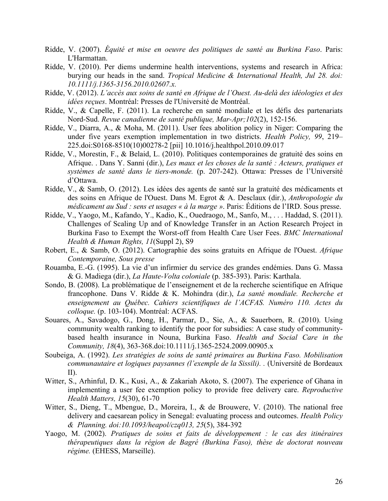- Ridde, V. (2007). *Équité et mise en oeuvre des politiques de santé au Burkina Faso*. Paris: L'Harmattan.
- Ridde, V. (2010). Per diems undermine health interventions, systems and research in Africa: burying our heads in the sand. *Tropical Medicine & International Health, Jul 28. doi: 10.1111/j.1365-3156.2010.02607.x.*
- Ridde, V. (2012). *L'accès aux soins de santé en Afrique de l'Ouest. Au-delà des idéologies et des idées reçues*. Montréal: Presses de l'Université de Montréal.
- Ridde, V., & Capelle, F. (2011). La recherche en santé mondiale et les défis des partenariats Nord-Sud. *Revue canadienne de santé publique, Mar-Apr;102*(2), 152-156.
- Ridde, V., Diarra, A., & Moha, M. (2011). User fees abolition policy in Niger: Comparing the under five years exemption implementation in two districts. *Health Policy, 99*, 219– 225.doi:S0168-8510(10)00278-2 [pii] 10.1016/j.healthpol.2010.09.017
- Ridde, V., Morestin, F., & Belaid, L. (2010). Politiques contemporaines de gratuité des soins en Afrique. . Dans Y. Sanni (dir.), *Les maux et les choses de la santé : Acteurs, pratiques et systèmes de santé dans le tiers-monde.* (p. 207-242). Ottawa: Presses de l'Université d'Ottawa.
- Ridde, V., & Samb, O. (2012). Les idées des agents de santé sur la gratuité des médicaments et des soins en Afrique de l'Ouest. Dans M. Egrot & A. Desclaux (dir.), *Anthropologie du médicament au Sud : sens et usages « à la marge »*. Paris: Éditions de l'IRD. Sous presse.
- Ridde, V., Yaogo, M., Kafando, Y., Kadio, K., Ouedraogo, M., Sanfo, M., . . . Haddad, S. (2011). Challenges of Scaling Up and of Knowledge Transfer in an Action Research Project in Burkina Faso to Exempt the Worst-off from Health Care User Fees. *BMC International Health & Human Rights, 11*(Suppl 2), S9
- Robert, E., & Samb, O. (2012). Cartographie des soins gratuits en Afrique de l'Ouest. *Afrique Contemporaine, Sous presse*
- Rouamba, E.-G. (1995). La vie d'un infirmier du service des grandes endémies. Dans G. Massa & G. Madiega (dir.), *La Haute-Volta coloniale* (p. 385-393). Paris: Karthala.
- Sondo, B. (2008). La problématique de l'enseignement et de la recherche scientifique en Afrique francophone. Dans V. Ridde & K. Mohindra (dir.), *La santé mondiale. Recherche et enseignement au Québec. Cahiers scientifiques de l'ACFAS. Numéro 110. Actes du colloque.* (p. 103-104). Montréal: ACFAS.
- Souares, A., Savadogo, G., Dong, H., Parmar, D., Sie, A., & Sauerborn, R. (2010). Using community wealth ranking to identify the poor for subsidies: A case study of communitybased health insurance in Nouna, Burkina Faso. *Health and Social Care in the Community, 18*(4), 363-368.doi:10.1111/j.1365-2524.2009.00905.x
- Soubeiga, A. (1992). *Les stratégies de soins de santé primaires au Burkina Faso. Mobilisation communautaire et logiques paysannes (l'exemple de la Sissili). .* (Université de Bordeaux II).
- Witter, S., Arhinful, D. K., Kusi, A., & Zakariah Akoto, S. (2007). The experience of Ghana in implementing a user fee exemption policy to provide free delivery care. *Reproductive Health Matters, 15*(30), 61-70
- Witter, S., Dieng, T., Mbengue, D., Moreira, I., & de Brouwere, V. (2010). The national free delivery and caesarean policy in Senegal: evaluating process and outcomes. *Health Policy & Planning. doi:10.1093/heapol/czq013, 25*(5), 384-392
- Yaogo, M. (2002). *Pratiques de soins et faits de développement : le cas des itinéraires thérapeutiques dans la région de Bagré (Burkina Faso), thèse de doctorat nouveau régime.* (EHESS, Marseille).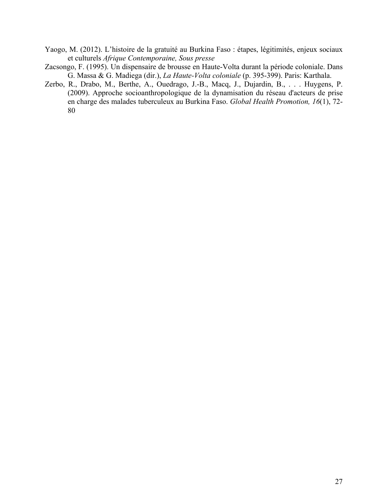- Yaogo, M. (2012). L'histoire de la gratuité au Burkina Faso : étapes, légitimités, enjeux sociaux et culturels *Afrique Contemporaine, Sous presse*
- Zacsongo, F. (1995). Un dispensaire de brousse en Haute-Volta durant la période coloniale. Dans G. Massa & G. Madiega (dir.), *La Haute-Volta coloniale* (p. 395-399). Paris: Karthala.
- Zerbo, R., Drabo, M., Berthe, A., Ouedrago, J.-B., Macq, J., Dujardin, B., . . . Huygens, P. (2009). Approche socioanthropologique de la dynamisation du réseau d'acteurs de prise en charge des malades tuberculeux au Burkina Faso. *Global Health Promotion, 16*(1), 72- 80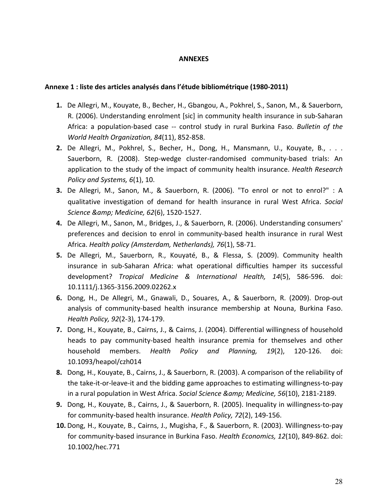#### **ANNEXES**

#### **Annexe 1 :!liste!des!articles!analysés!dans!l'étude!bibliométrique (1980=2011)**

- **1.** De Allegri, M., Kouyate, B., Becher, H., Gbangou, A., Pokhrel, S., Sanon, M., & Sauerborn, R. (2006). Understanding enrolment [sic] in community health insurance in sub-Saharan Africa: a population-based case -- control study in rural Burkina Faso. *Bulletin of the World Health Organization, 84*(11), 852-858.
- **2.** De Allegri, M., Pokhrel, S., Becher, H., Dong, H., Mansmann, U., Kouyate, B., . . . Sauerborn, R. (2008). Step-wedge cluster-randomised community-based trials: An application to the study of the impact of community health insurance. *Health Research Policy and Systems, 6*(1), 10.
- **3.** De Allegri, M., Sanon, M., & Sauerborn, R. (2006). "To enrol or not to enrol?" : A qualitative investigation of demand for health insurance in rural West Africa. *Social Science & Medicine, 62(6), 1520-1527.*
- **4.** De Allegri, M., Sanon, M., Bridges, J., & Sauerborn, R. (2006). Understanding consumers' preferences and decision to enrol in community-based health insurance in rural West Africa. *Health policy (Amsterdam, Netherlands), 76*(1), 58-71.
- **5.** De Allegri, M., Sauerborn, R., Kouyaté, B., & Flessa, S. (2009). Community health insurance in sub-Saharan Africa: what operational difficulties hamper its successful development? *Tropical Medicine & International Health, 14*(5), 586-596. doi: 10.1111/j.1365-3156.2009.02262.x
- **6.** Dong, H., De Allegri, M., Gnawali, D., Souares, A., & Sauerborn, R. (2009). Drop-out analysis of community-based health insurance membership at Nouna, Burkina Faso. *Health Policy, 92*(2-3), 174-179.
- **7.** Dong, H., Kouyate, B., Cairns, J., & Cairns, J. (2004). Differential willingness of household heads to pay community-based health insurance premia for themselves and other household members. *Health Policy and Planning, 19*(2), 120-126. doi: 10.1093/heapol/czh014
- 8. Dong, H., Kouyate, B., Cairns, J., & Sauerborn, R. (2003). A comparison of the reliability of the take-it-or-leave-it and the bidding game approaches to estimating willingness-to-pay in a rural population in West Africa. *Social Science & amp; Medicine, 56*(10), 2181-2189.
- **9.** Dong, H., Kouyate, B., Cairns, J., & Sauerborn, R. (2005). Inequality in willingness-to-pay for community-based health insurance. *Health Policy, 72*(2), 149-156.
- **10.** Dong, H., Kouyate, B., Cairns, J., Mugisha, F., & Sauerborn, R. (2003). Willingness-to-pay for community-based insurance in Burkina Faso. *Health Economics, 12*(10), 849-862. doi: 10.1002/hec.771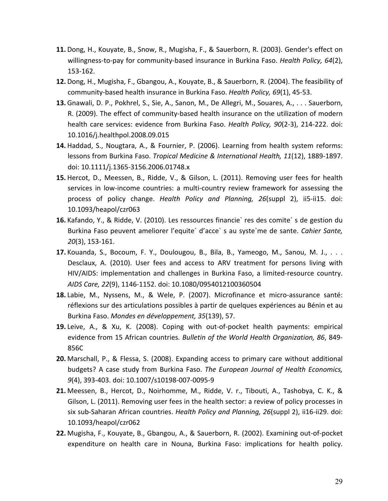- **11.** Dong, H., Kouyate, B., Snow, R., Mugisha, F., & Sauerborn, R. (2003). Gender's effect on willingness-to-pay for community-based insurance in Burkina Faso. *Health Policy, 64*(2), 153-162.
- **12.** Dong, H., Mugisha, F., Gbangou, A., Kouyate, B., & Sauerborn, R. (2004). The feasibility of community-based health insurance in Burkina Faso. *Health Policy, 69*(1), 45-53.
- **13.** Gnawali, D. P., Pokhrel, S., Sie, A., Sanon, M., De Allegri, M., Souares, A., . . . Sauerborn, R. (2009). The effect of community-based health insurance on the utilization of modern health care services: evidence from Burkina Faso. *Health Policy, 90*(2-3), 214-222. doi: 10.1016/j.healthpol.2008.09.015
- 14. Haddad, S., Nougtara, A., & Fournier, P. (2006). Learning from health system reforms: lessons from Burkina Faso. *Tropical Medicine & International Health, 11*(12), 1889-1897. doi: 10.1111/j.1365-3156.2006.01748.x
- **15.** Hercot, D., Meessen, B., Ridde, V., & Gilson, L. (2011). Removing user fees for health services in low-income countries: a multi-country review framework for assessing the process of policy change. *Health Policy and Planning, 26*(suppl 2), ii5-ii15. doi: 10.1093/heapol/czr063
- **16.** Kafando, Y., & Ridde, V. (2010). Les ressources financie` res des comite' s de gestion du Burkina Faso peuvent ameliorer l'equite<sup>'</sup> d'acce` s au syste`me de sante. Cahier Sante, *20*(3), 153-161.
- **17.** Kouanda, S., Bocoum, F. Y., Doulougou, B., Bila, B., Yameogo, M., Sanou, M. J., . . . Desclaux, A. (2010). User fees and access to ARV treatment for persons living with HIV/AIDS: implementation and challenges in Burkina Faso, a limited-resource country. *AIDS Care, 22*(9), 1146-1152. doi: 10.1080/0954012100360504
- **18.** Labie, M., Nyssens, M., & Wele, P. (2007). Microfinance et micro-assurance santé: réflexions sur des articulations possibles à partir de quelques expériences au Bénin et au Burkina Faso. Mondes en développement, 35(139), 57.
- 19. Leive, A., & Xu, K. (2008). Coping with out-of-pocket health payments: empirical evidence from 15 African countries. *Bulletin of the World Health Organization, 86*, 849-856C
- **20.** Marschall, P., & Flessa, S. (2008). Expanding access to primary care without additional budgets? A case study from Burkina Faso. The European Journal of Health Economics, *9*(4), 393-403. doi: 10.1007/s10198-007-0095-9
- 21. Meessen, B., Hercot, D., Noirhomme, M., Ridde, V. r., Tibouti, A., Tashobya, C. K., & Gilson, L. (2011). Removing user fees in the health sector: a review of policy processes in six sub-Saharan African countries. *Health Policy and Planning, 26*(suppl 2), ii16-ii29. doi: 10.1093/heapol/czr062
- **22.** Mugisha, F., Kouyate, B., Gbangou, A., & Sauerborn, R. (2002). Examining out-of-pocket expenditure on health care in Nouna, Burkina Faso: implications for health policy.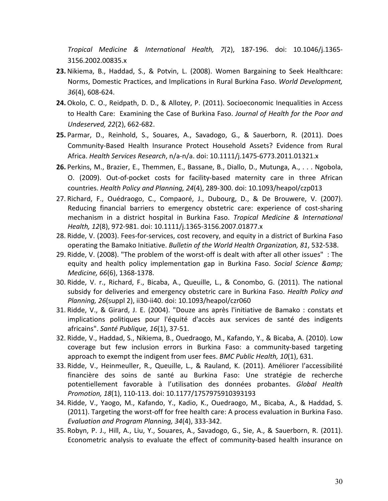*Tropical Medicine & International Health, 7*(2), 187-196. doi: 10.1046/j.1365-3156.2002.00835.x

- **23.** Nikiema, B., Haddad, S., & Potvin, L. (2008). Women Bargaining to Seek Healthcare: Norms, Domestic Practices, and Implications in Rural Burkina Faso. *World Development, 36*(4), 608-624.
- **24.** Okolo, C. O., Reidpath, D. D., & Allotey, P. (2011). Socioeconomic Inequalities in Access to Health Care: Examining the Case of Burkina Faso. *Journal of Health for the Poor and Undeserved, 22*(2), 662-682.
- 25. Parmar, D., Reinhold, S., Souares, A., Savadogo, G., & Sauerborn, R. (2011). Does Community-Based Health Insurance Protect Household Assets? Evidence from Rural Africa. *Health Services Research*, n/a-n/a. doi: 10.1111/j.1475-6773.2011.01321.x
- 26. Perkins, M., Brazier, E., Themmen, E., Bassane, B., Diallo, D., Mutunga, A., . . . Ngobola, O. (2009). Out-of-pocket costs for facility-based maternity care in three African countries. *Health Policy and Planning, 24*(4), 289-300. doi: 10.1093/heapol/czp013
- 27. Richard, F., Ouédraogo, C., Compaoré, J., Dubourg, D., & De Brouwere, V. (2007). Reducing financial barriers to emergency obstetric care: experience of cost-sharing mechanism! in! a! district! hospital! in! Burkina! Faso.! *Tropical' Medicine' &' International'* Health, 12(8), 972-981. doi: 10.1111/j.1365-3156.2007.01877.x
- 28. Ridde, V. (2003). Fees-for-services, cost recovery, and equity in a district of Burkina Faso operating the Bamako Initiative. *Bulletin of the World Health Organization, 81*, 532-538.
- 29. Ridde, V. (2008). "The problem of the worst-off is dealt with after all other issues": The equity and health policy implementation gap in Burkina Faso. Social Science & *Medicine, 66*(6), 1368-1378.
- 30. Ridde, V. r., Richard, F., Bicaba, A., Queuille, L., & Conombo, G. (2011). The national subsidy for deliveries and emergency obstetric care in Burkina Faso. *Health Policy and Planning, 26*(suppl 2), ii30-ii40. doi: 10.1093/heapol/czr060
- 31. Ridde, V., & Girard, J. E. (2004). "Douze ans après l'initiative de Bamako : constats et implications politiques pour l'équité d'accès aux services de santé des indigents africains". Santé Publique, 16(1), 37-51.
- 32. Ridde, V., Haddad, S., Nikiema, B., Ouedraogo, M., Kafando, Y., & Bicaba, A. (2010). Low coverage but few inclusion errors in Burkina Faso: a community-based targeting approach to exempt the indigent from user fees. *BMC Public Health, 10*(1), 631.
- 33. Ridde, V., Heinmeuller, R., Queuille, L., & Rauland, K. (2011). Améliorer l'accessibilité financière des soins de santé au Burkina Faso: Une stratégie de recherche potentiellement! favorable! à! l'utilisation! des! données! probantes.! *Global' Health' Promotion, 18*(1), 110-113. doi: 10.1177/1757975910393193
- 34. Ridde, V., Yaogo, M., Kafando, Y., Kadio, K., Ouedraogo, M., Bicaba, A., & Haddad, S. (2011). Targeting the worst-off for free health care: A process evaluation in Burkina Faso. *Evaluation and Program Planning, 34*(4), 333-342.
- 35. Robyn, P. J., Hill, A., Liu, Y., Souares, A., Savadogo, G., Sie, A., & Sauerborn, R. (2011). Econometric analysis to evaluate the effect of community-based health insurance on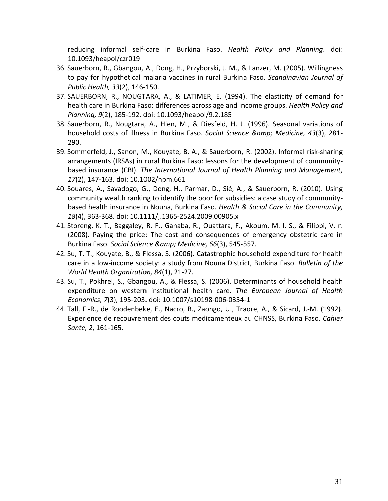reducing informal self-care in Burkina Faso. *Health Policy and Planning*. doi: 10.1093/heapol/czr019

- 36. Sauerborn, R., Gbangou, A., Dong, H., Przyborski, J. M., & Lanzer, M. (2005). Willingness to pay for hypothetical malaria vaccines in rural Burkina Faso. *Scandinavian Journal of Public Health, 33*(2), 146-150.
- 37. SAUERBORN, R., NOUGTARA, A., & LATIMER, E. (1994). The elasticity of demand for health care in Burkina Faso: differences across age and income groups. *Health Policy and Planning, 9*(2), 185-192. doi: 10.1093/heapol/9.2.185
- 38. Sauerborn, R., Nougtara, A., Hien, M., & Diesfeld, H. J. (1996). Seasonal variations of household costs of illness in Burkina Faso. Social Science & Medicine, 43(3), 281-290.!
- 39. Sommerfeld, J., Sanon, M., Kouyate, B. A., & Sauerborn, R. (2002). Informal risk-sharing arrangements (IRSAs) in rural Burkina Faso: lessons for the development of communitybased insurance (CBI). *The International Journal of Health Planning and Management,* 17(2), 147-163. doi: 10.1002/hpm.661
- 40. Souares, A., Savadogo, G., Dong, H., Parmar, D., Sié, A., & Sauerborn, R. (2010). Using community wealth ranking to identify the poor for subsidies: a case study of communitybased health insurance in Nouna, Burkina Faso. *Health & Social Care in the Community,* 18(4), 363-368. doi: 10.1111/j.1365-2524.2009.00905.x
- 41. Storeng, K. T., Baggaley, R. F., Ganaba, R., Ouattara, F., Akoum, M. I. S., & Filippi, V. r. (2008). Paying the price: The cost and consequences of emergency obstetric care in Burkina Faso. Social Science & Medicine, 66(3), 545-557.
- 42. Su, T. T., Kouyate, B., & Flessa, S. (2006). Catastrophic household expenditure for health care in a low-income society: a study from Nouna District, Burkina Faso. *Bulletin of the World Health Organization, 84*(1), 21-27.
- 43. Su, T., Pokhrel, S., Gbangou, A., & Flessa, S. (2006). Determinants of household health expenditure on western institutional health care. The European Journal of Health *Economics, 7*(3), 195-203. doi: 10.1007/s10198-006-0354-1
- 44. Tall, F.-R., de Roodenbeke, E., Nacro, B., Zaongo, U., Traore, A., & Sicard, J.-M. (1992). Experience de recouvrement des couts medicamenteux au CHNSS, Burkina Faso. Cahier *Sante, 2, 161-165.*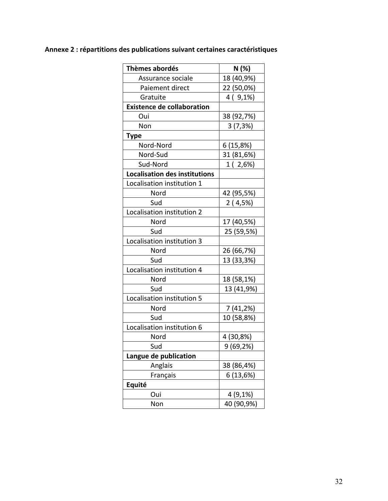# Annexe 2 : répartitions des publications suivant certaines caractéristiques

| Thèmes abordés                       | N(%)       |
|--------------------------------------|------------|
| Assurance sociale                    | 18 (40,9%) |
| Paiement direct                      | 22 (50,0%) |
| Gratuite                             | $4(9,1\%)$ |
| <b>Existence de collaboration</b>    |            |
| Oui                                  | 38 (92,7%) |
| Non                                  | 3(7,3%)    |
| <b>Type</b>                          |            |
| Nord-Nord                            | 6(15,8%)   |
| Nord-Sud                             | 31 (81,6%) |
| Sud-Nord                             | 1 (2,6%)   |
| <b>Localisation des institutions</b> |            |
| Localisation institution 1           |            |
| Nord                                 | 42 (95,5%) |
| Sud                                  | 2(4,5%)    |
| Localisation institution 2           |            |
| Nord                                 | 17 (40,5%) |
| Sud                                  | 25 (59,5%) |
| Localisation institution 3           |            |
| Nord                                 | 26 (66,7%) |
| Sud                                  | 13 (33,3%) |
| Localisation institution 4           |            |
| Nord                                 | 18 (58,1%) |
| Sud                                  | 13 (41,9%) |
| Localisation institution 5           |            |
| Nord                                 | 7 (41,2%)  |
| Sud                                  | 10 (58,8%) |
| Localisation institution 6           |            |
| Nord                                 | 4 (30,8%)  |
| Sud                                  | 9 (69,2%)  |
| Langue de publication                |            |
| Anglais                              | 38 (86,4%) |
| Français                             | 6 (13,6%)  |
| Equité                               |            |
| Oui                                  | 4 (9,1%)   |
| Non                                  | 40 (90,9%) |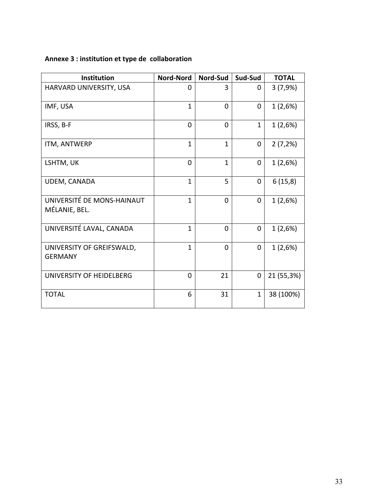# **Annexe 3 : institution et type de collaboration**

| <b>Institution</b>                          | <b>Nord-Nord</b> | Nord-Sud     | Sud-Sud      | <b>TOTAL</b> |
|---------------------------------------------|------------------|--------------|--------------|--------------|
| HARVARD UNIVERSITY, USA                     | 0                | 3            | 0            | 3(7,9%)      |
| IMF, USA                                    | $\mathbf{1}$     | $\Omega$     | $\Omega$     | 1(2,6%)      |
| IRSS, B-F                                   | $\Omega$         | $\Omega$     | $\mathbf{1}$ | 1(2,6%)      |
| ITM, ANTWERP                                | $\mathbf{1}$     | $\mathbf{1}$ | $\mathbf{0}$ | 2(7,2%)      |
| LSHTM, UK                                   | $\Omega$         | $\mathbf{1}$ | $\mathbf{0}$ | 1(2,6%)      |
| UDEM, CANADA                                | $\mathbf{1}$     | 5            | 0            | 6(15,8)      |
| UNIVERSITÉ DE MONS-HAINAUT<br>MÉLANIE, BEL. | $\mathbf{1}$     | $\Omega$     | 0            | 1(2,6%)      |
| UNIVERSITÉ LAVAL, CANADA                    | $\mathbf{1}$     | 0            | 0            | 1(2,6%)      |
| UNIVERSITY OF GREIFSWALD,<br><b>GERMANY</b> | $\mathbf{1}$     | $\Omega$     | $\mathbf{0}$ | 1(2,6%)      |
| UNIVERSITY OF HEIDELBERG                    | 0                | 21           | $\mathbf{0}$ | 21 (55,3%)   |
| <b>TOTAL</b>                                | 6                | 31           | $\mathbf{1}$ | 38 (100%)    |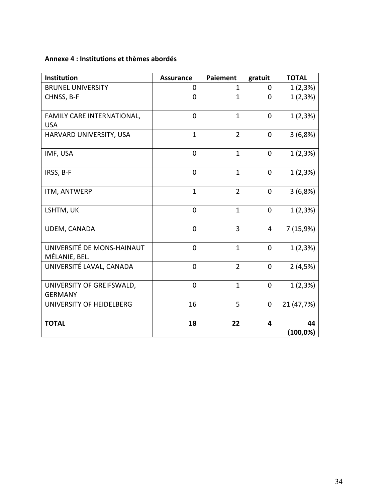### **Annexe!4 :!Institutions!et!thèmes!abordés**

| Institution                                 | <b>Assurance</b> | <b>Paiement</b> | gratuit      | <b>TOTAL</b> |
|---------------------------------------------|------------------|-----------------|--------------|--------------|
| <b>BRUNEL UNIVERSITY</b>                    | 0                | $\mathbf{1}$    | $\Omega$     | 1(2,3%)      |
| CHNSS, B-F                                  | 0                | $\mathbf{1}$    | $\Omega$     | 1(2,3%)      |
| FAMILY CARE INTERNATIONAL,<br><b>USA</b>    | $\mathbf 0$      | $\mathbf{1}$    | $\Omega$     | 1(2,3%)      |
| HARVARD UNIVERSITY, USA                     | $\mathbf{1}$     | $\overline{2}$  | $\Omega$     | 3(6,8%)      |
| IMF, USA                                    | $\overline{0}$   | $\mathbf{1}$    | $\Omega$     | 1(2,3%)      |
| IRSS, B-F                                   | $\Omega$         | $\mathbf{1}$    | $\Omega$     | 1(2,3%)      |
| ITM, ANTWERP                                | $\mathbf{1}$     | $\overline{2}$  | $\mathbf{0}$ | 3(6,8%)      |
| LSHTM, UK                                   | $\overline{0}$   | $\mathbf{1}$    | $\mathbf{0}$ | 1(2,3%)      |
| UDEM, CANADA                                | $\Omega$         | 3               | 4            | 7 (15,9%)    |
| UNIVERSITÉ DE MONS-HAINAUT<br>MÉLANIE, BEL. | $\mathbf 0$      | $\mathbf{1}$    | $\mathbf 0$  | 1(2,3%)      |
| UNIVERSITÉ LAVAL, CANADA                    | $\Omega$         | $\overline{2}$  | $\Omega$     | 2(4,5%)      |
| UNIVERSITY OF GREIFSWALD,<br><b>GERMANY</b> | $\overline{0}$   | $\mathbf{1}$    | $\mathbf 0$  | 1(2,3%)      |
| UNIVERSITY OF HEIDELBERG                    | 16               | 5               | $\mathbf{0}$ | 21 (47,7%)   |
| <b>TOTAL</b>                                | 18               | 22              | 4            | 44           |
|                                             |                  |                 |              | $(100,0\%)$  |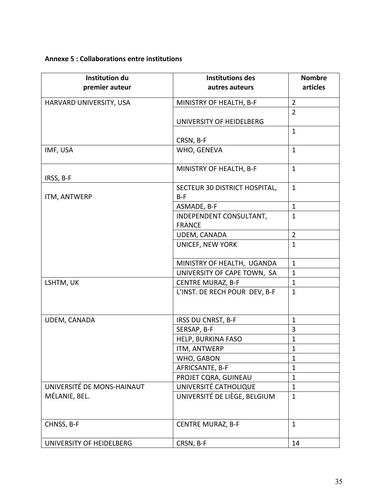#### **Annexe!5 :!Collaborations!entre!institutions**

| <b>Institution du</b><br>premier auteur | <b>Institutions des</b><br>autres auteurs | <b>Nombre</b><br>articles |
|-----------------------------------------|-------------------------------------------|---------------------------|
| HARVARD UNIVERSITY, USA                 | MINISTRY OF HEALTH, B-F                   | $\overline{2}$            |
|                                         |                                           | $\overline{2}$            |
|                                         | UNIVERSITY OF HEIDELBERG                  |                           |
|                                         |                                           | $\mathbf{1}$              |
|                                         | CRSN, B-F                                 |                           |
| IMF, USA                                | WHO, GENEVA                               | $\mathbf{1}$              |
|                                         | MINISTRY OF HEALTH, B-F                   | $\mathbf{1}$              |
| IRSS, B-F                               |                                           |                           |
| ITM, ANTWERP                            | SECTEUR 30 DISTRICT HOSPITAL,<br>$B-F$    | $\mathbf{1}$              |
|                                         | ASMADE, B-F                               | $\mathbf{1}$              |
|                                         | INDEPENDENT CONSULTANT,                   | $\mathbf{1}$              |
|                                         | <b>FRANCE</b>                             |                           |
|                                         | UDEM, CANADA                              | $\overline{2}$            |
|                                         | UNICEF, NEW YORK                          | $\mathbf{1}$              |
|                                         | MINISTRY OF HEALTH, UGANDA                | $\mathbf{1}$              |
|                                         | UNIVERSITY OF CAPE TOWN, SA               | $\mathbf{1}$              |
| LSHTM, UK                               | <b>CENTRE MURAZ, B-F</b>                  | $\mathbf{1}$              |
|                                         | L'INST. DE RECH POUR DEV, B-F             | $\mathbf{1}$              |
| UDEM, CANADA                            | IRSS DU CNRST, B-F                        | $\mathbf{1}$              |
|                                         | SERSAP, B-F                               | 3                         |
|                                         | HELP, BURKINA FASO                        | $\mathbf{1}$              |
|                                         | ITM, ANTWERP                              | $\mathbf{1}$              |
|                                         | WHO, GABON                                | $\mathbf{1}$              |
|                                         | AFRICSANTE, B-F                           | $\mathbf{1}$              |
|                                         | PROJET CQRA, GUINEAU                      | $\mathbf{1}$              |
| UNIVERSITÉ DE MONS-HAINAUT              | UNIVERSITÉ CATHOLIQUE                     | $\mathbf{1}$              |
| MÉLANIE, BEL.                           | UNIVERSITÉ DE LIÈGE, BELGIUM              | $\mathbf{1}$              |
| CHNSS, B-F                              | <b>CENTRE MURAZ, B-F</b>                  | $\mathbf{1}$              |
| UNIVERSITY OF HEIDELBERG                | CRSN, B-F                                 | 14                        |